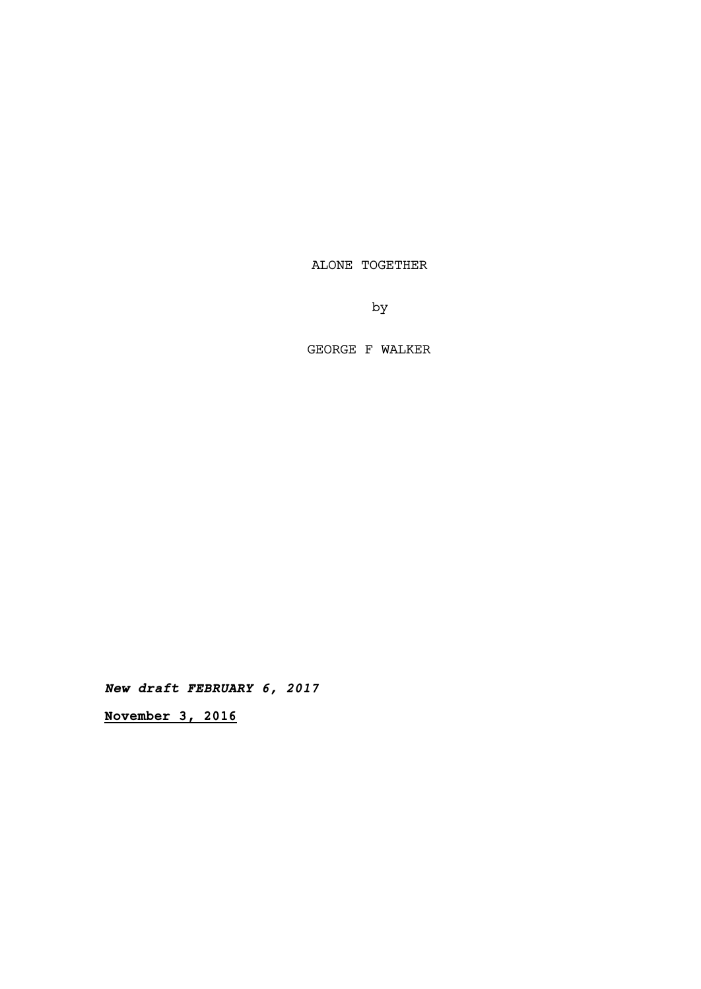ALONE TOGETHER

by

GEORGE F WALKER

**New draft FEBRUARY 6, 2017**

**November 3, 2016**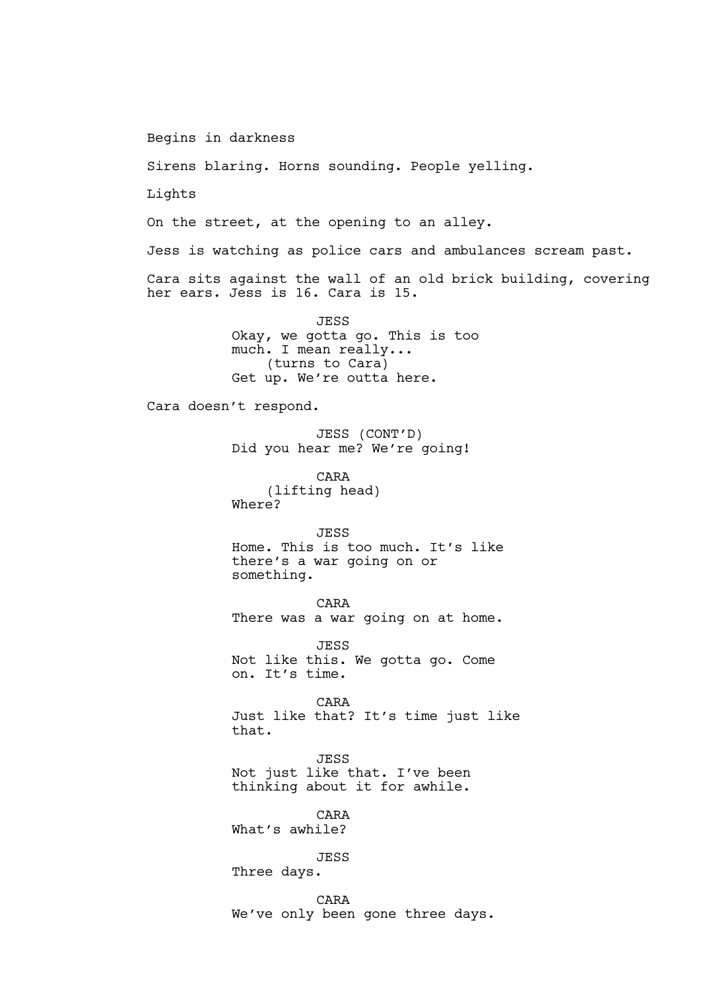Begins in darkness

Sirens blaring. Horns sounding. People yelling.

Lights

On the street, at the opening to an alley.

Jess is watching as police cars and ambulances scream past.

Cara sits against the wall of an old brick building, covering her ears. Jess is 16. Cara is 15.

> JESS Okay, we gotta go. This is too much. I mean really... (turns to Cara) Get up. We're outta here.

Cara doesn't respond.

JESS (CONT'D) Did you hear me? We're going!

CARA (lifting head) Where?

JESS Home. This is too much. It's like there's a war going on or something.

CARA There was a war going on at home.

JESS Not like this. We gotta go. Come on. It's time.

CARA Just like that? It's time just like that.

JESS Not just like that. I've been thinking about it for awhile.

CARA What's awhile?

JESS

Three days.

CARA We've only been gone three days.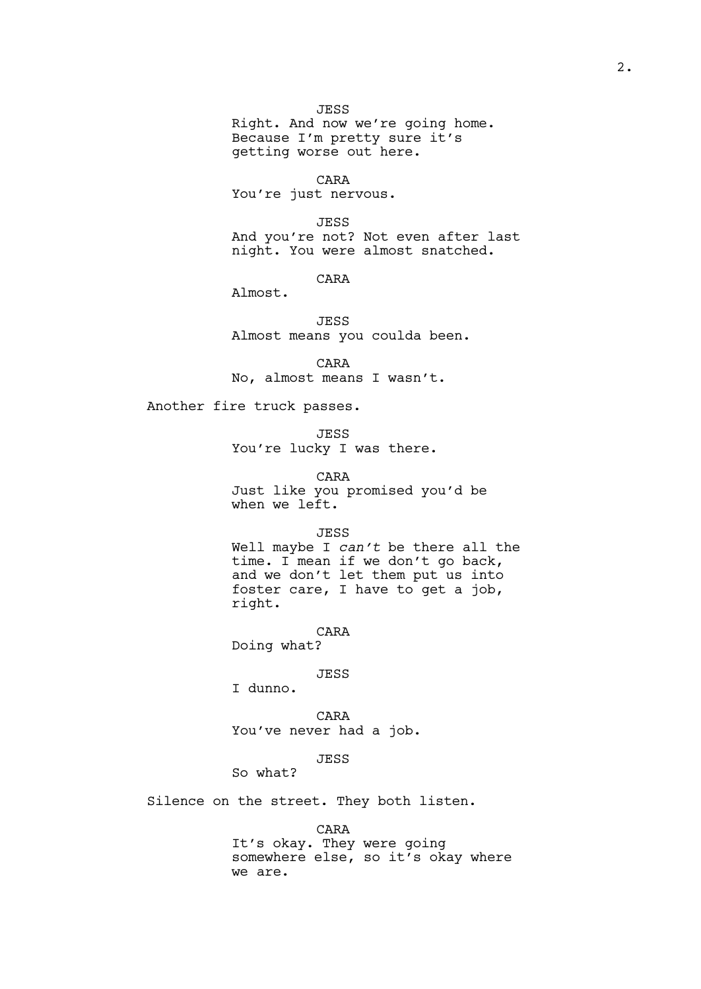JESS

Right. And now we're going home. Because I'm pretty sure it's getting worse out here.

CARA You're just nervous.

JESS And you're not? Not even after last night. You were almost snatched.

CARA

Almost.

JESS Almost means you coulda been.

CARA No, almost means I wasn't.

Another fire truck passes.

JESS You're lucky I was there.

CARA Just like you promised you'd be when we left.

JESS

Well maybe I *can't* be there all the time. I mean if we don't go back, and we don't let them put us into foster care, I have to get a job, right.

CARA Doing what?

JESS

I dunno.

CARA You've never had a job.

JESS

So what?

Silence on the street. They both listen.

CARA

It's okay. They were going somewhere else, so it's okay where we are.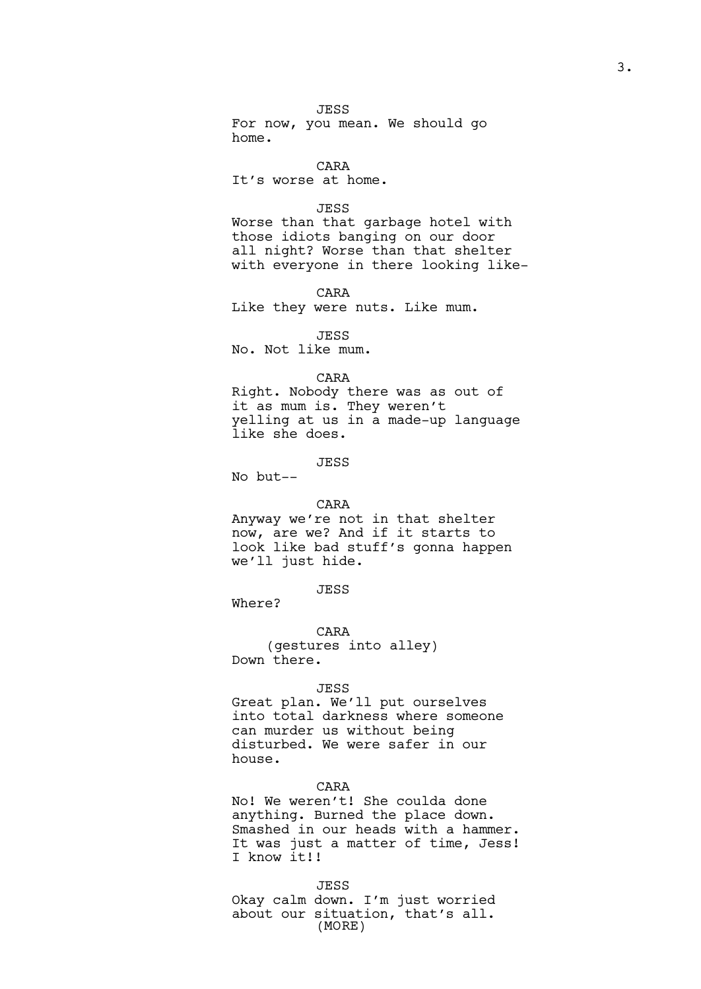JESS For now, you mean. We should go home.

CARA It's worse at home.

## JESS

Worse than that garbage hotel with those idiots banging on our door all night? Worse than that shelter with everyone in there looking like-

CARA Like they were nuts. Like mum.

JESS No. Not like mum.

# CARA

Right. Nobody there was as out of it as mum is. They weren't yelling at us in a made-up language like she does.

JESS

No but--

## CARA

Anyway we're not in that shelter now, are we? And if it starts to look like bad stuff's gonna happen we'll just hide.

JESS

Where?

CARA (gestures into alley) Down there.

#### JESS

Great plan. We'll put ourselves into total darkness where someone can murder us without being disturbed. We were safer in our house.

CARA

No! We weren't! She coulda done anything. Burned the place down. Smashed in our heads with a hammer. It was just a matter of time, Jess! I know it!!

JESS

Okay calm down. I'm just worried about our situation, that's all. (MORE)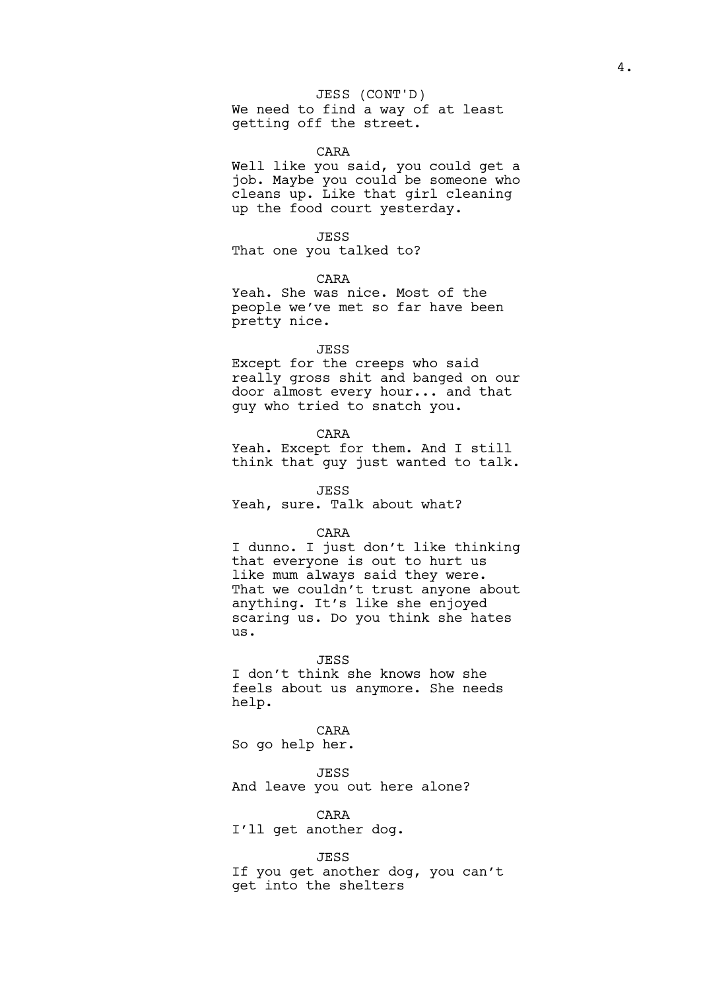JESS (CONT'D)

We need to find a way of at least getting off the street.

### CARA

Well like you said, you could get a job. Maybe you could be someone who cleans up. Like that girl cleaning up the food court yesterday.

JESS

That one you talked to?

CARA

Yeah. She was nice. Most of the people we've met so far have been pretty nice.

# JESS

Except for the creeps who said really gross shit and banged on our door almost every hour... and that guy who tried to snatch you.

#### CARA

Yeah. Except for them. And I still think that guy just wanted to talk.

JESS

Yeah, sure. Talk about what?

#### CARA

I dunno. I just don't like thinking that everyone is out to hurt us like mum always said they were. That we couldn't trust anyone about anything. It's like she enjoyed scaring us. Do you think she hates us.

#### JESS

I don't think she knows how she feels about us anymore. She needs help.

#### CARA

So go help her.

#### JESS

And leave you out here alone?

#### CARA

I'll get another dog.

# JESS

If you get another dog, you can't get into the shelters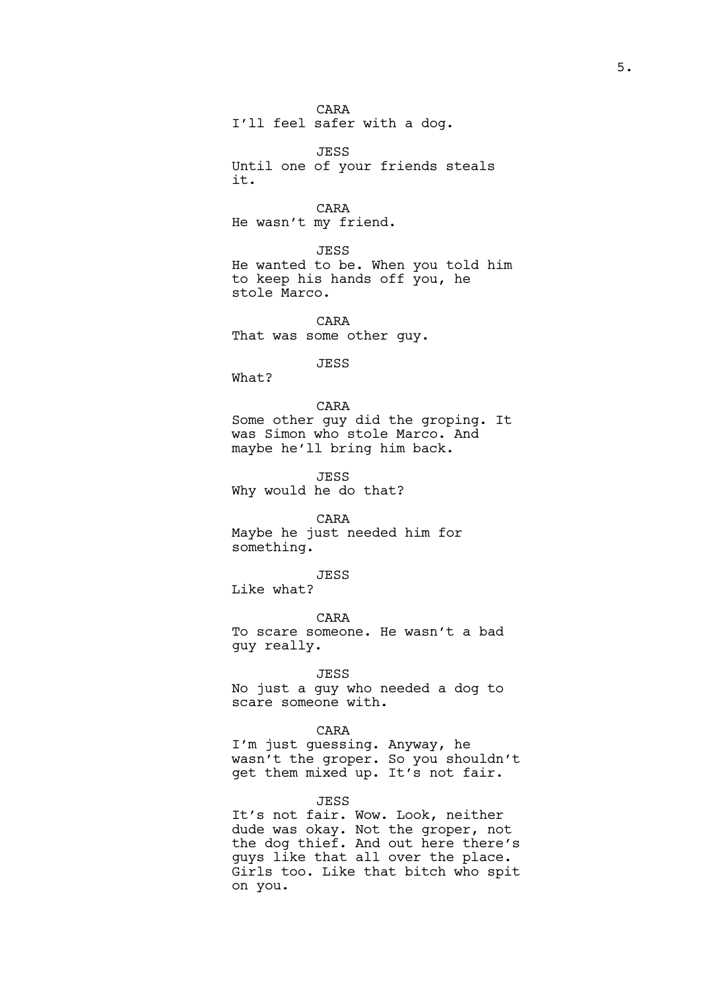CARA I'll feel safer with a dog.

JESS Until one of your friends steals it.

CARA He wasn't my friend.

JESS He wanted to be. When you told him to keep his hands off you, he stole Marco.

CARA That was some other guy.

## JESS

What?

## CARA

Some other guy did the groping. It was Simon who stole Marco. And maybe he'll bring him back.

JESS Why would he do that?

CARA

Maybe he just needed him for something.

JESS

Like what?

CARA

To scare someone. He wasn't a bad guy really.

# JESS

No just a guy who needed a dog to scare someone with.

# CARA

I'm just guessing. Anyway, he wasn't the groper. So you shouldn't get them mixed up. It's not fair.

### JESS

It's not fair. Wow. Look, neither dude was okay. Not the groper, not the dog thief. And out here there's guys like that all over the place. Girls too. Like that bitch who spit on you.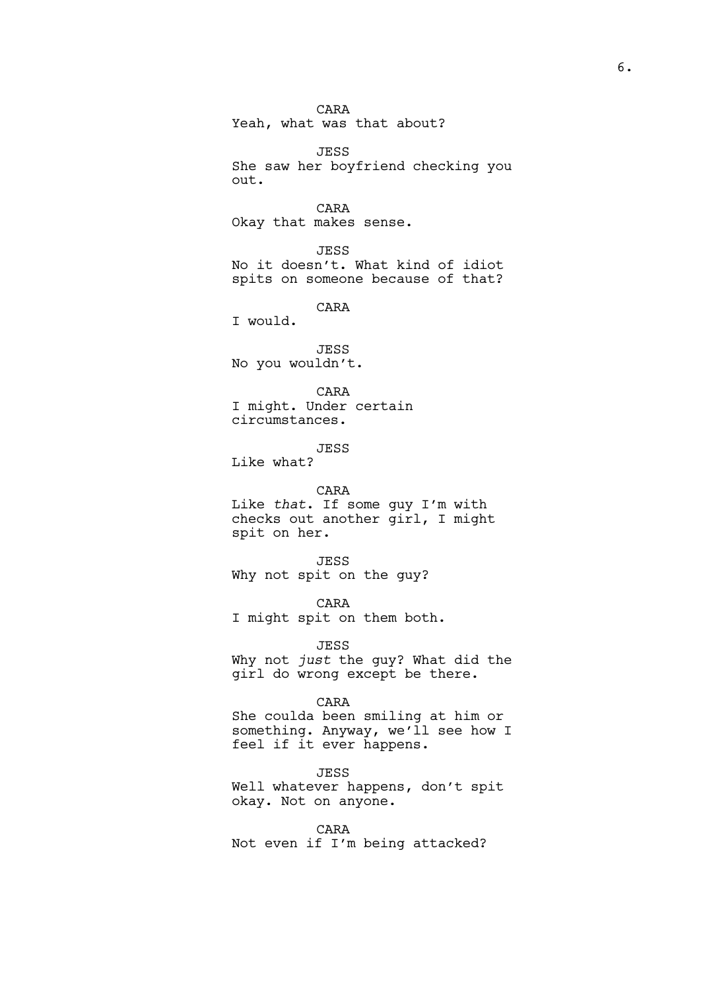CARA Yeah, what was that about?

JESS She saw her boyfriend checking you out.

CARA Okay that makes sense.

JESS No it doesn't. What kind of idiot spits on someone because of that?

CARA

I would.

JESS No you wouldn't.

CARA I might. Under certain circumstances.

JESS

Like what?

CARA

Like *that*. If some guy I'm with checks out another girl, I might spit on her.

JESS Why not spit on the guy?

CARA I might spit on them both.

JESS Why not *just* the guy? What did the girl do wrong except be there.

CARA

She coulda been smiling at him or something. Anyway, we'll see how I feel if it ever happens.

JESS Well whatever happens, don't spit okay. Not on anyone.

CARA Not even if I'm being attacked?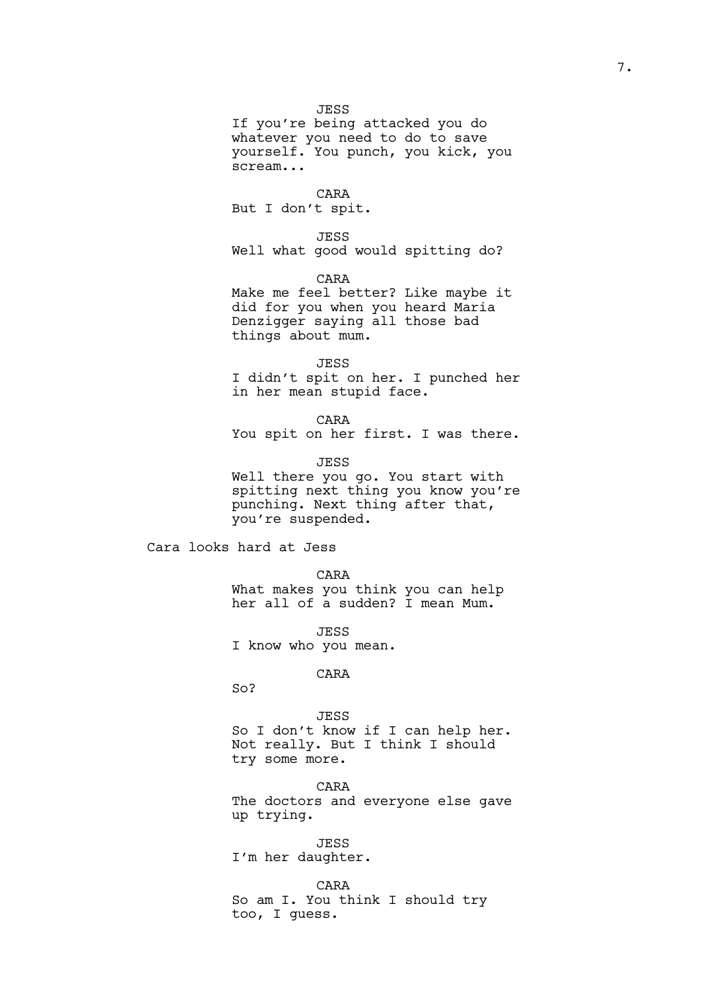# JESS

If you're being attacked you do whatever you need to do to save yourself. You punch, you kick, you scream...

## CARA

But I don't spit.

### JESS

Well what good would spitting do?

CARA Make me feel better? Like maybe it did for you when you heard Maria Denzigger saying all those bad

things about mum. JESS

I didn't spit on her. I punched her in her mean stupid face.

CARA You spit on her first. I was there.

JESS Well there you go. You start with spitting next thing you know you're punching. Next thing after that, you're suspended.

Cara looks hard at Jess

CARA What makes you think you can help her all of a sudden? I mean Mum.

JESS I know who you mean.

## CARA

So?

# JESS

So I don't know if I can help her. Not really. But I think I should try some more.

CARA The doctors and everyone else gave up trying.

JESS I'm her daughter.

CARA So am I. You think I should try too, I guess.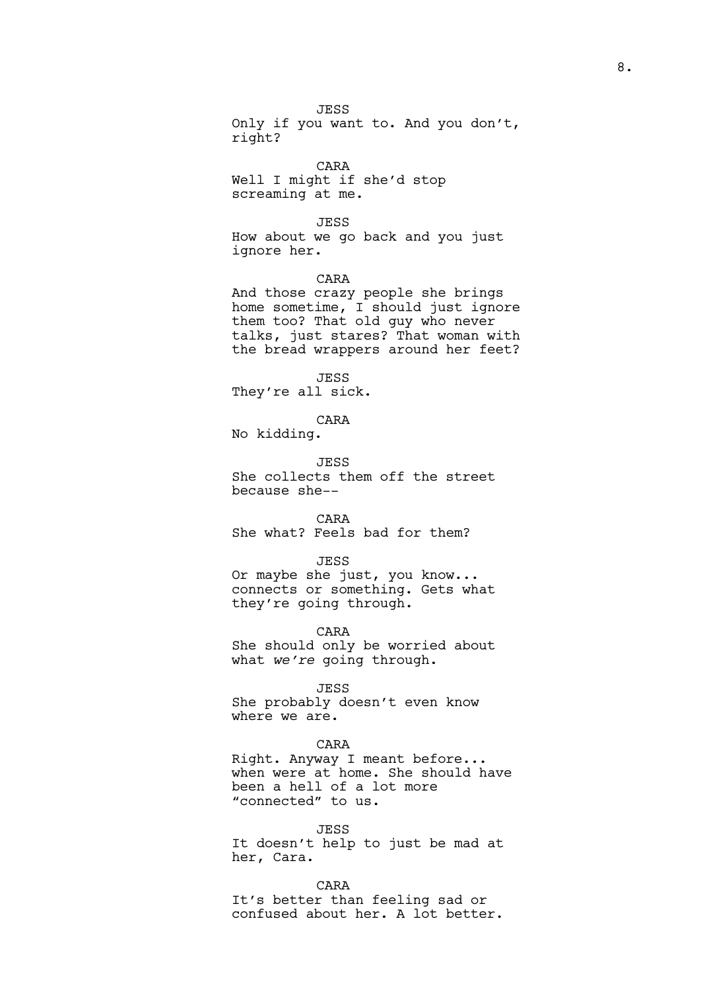JESS Only if you want to. And you don't, right?

CARA Well I might if she'd stop screaming at me.

JESS

How about we go back and you just ignore her.

CARA

And those crazy people she brings home sometime, I should just ignore them too? That old guy who never talks, just stares? That woman with the bread wrappers around her feet?

JESS They're all sick.

CARA

No kidding.

JESS She collects them off the street because she--

CARA

She what? Feels bad for them?

JESS

Or maybe she just, you know... connects or something. Gets what they're going through.

CARA She should only be worried about what *we're* going through.

JESS

She probably doesn't even know where we are.

# CARA

Right. Anyway I meant before... when were at home. She should have been a hell of a lot more "connected" to us.

JESS

It doesn't help to just be mad at her, Cara.

CARA

It's better than feeling sad or confused about her. A lot better.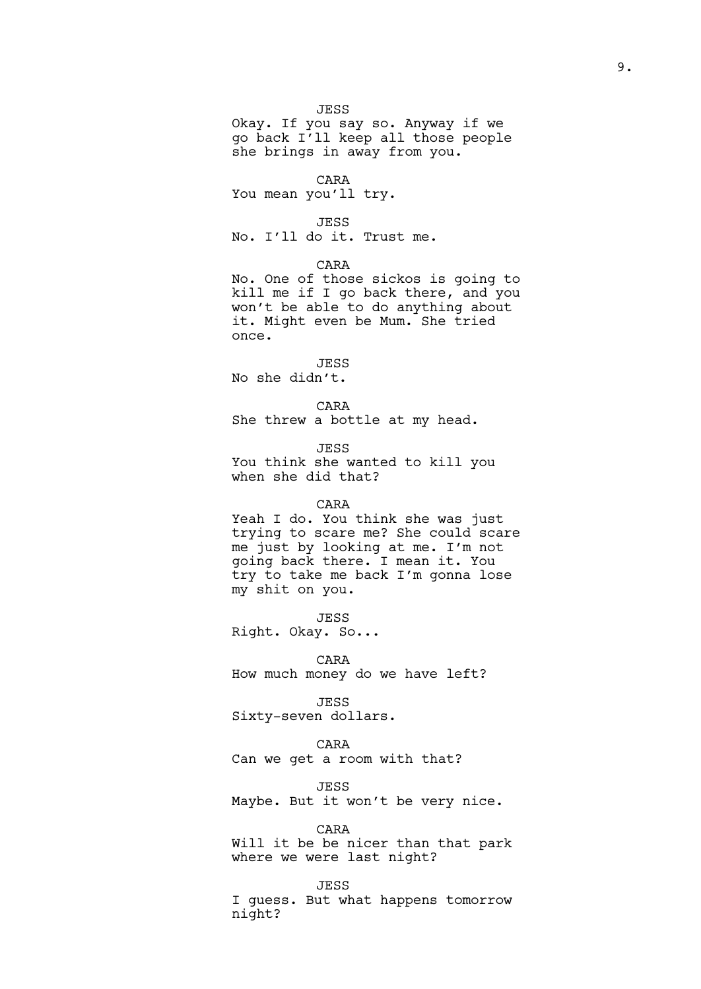## JESS

Okay. If you say so. Anyway if we go back I'll keep all those people she brings in away from you.

## CARA

You mean you'll try.

### JESS

No. I'll do it. Trust me.

## CARA

No. One of those sickos is going to kill me if I go back there, and you won't be able to do anything about it. Might even be Mum. She tried once.

# JESS

No she didn't.

## CARA

She threw a bottle at my head.

JESS

You think she wanted to kill you when she did that?

## CARA

Yeah I do. You think she was just trying to scare me? She could scare me just by looking at me. I'm not going back there. I mean it. You try to take me back I'm gonna lose my shit on you.

JESS Right. Okay. So...

# CARA

How much money do we have left?

JESS Sixty-seven dollars.

## CARA

Can we get a room with that?

JESS

Maybe. But it won't be very nice.

#### CARA

Will it be be nicer than that park where we were last night?

#### JESS

I guess. But what happens tomorrow night?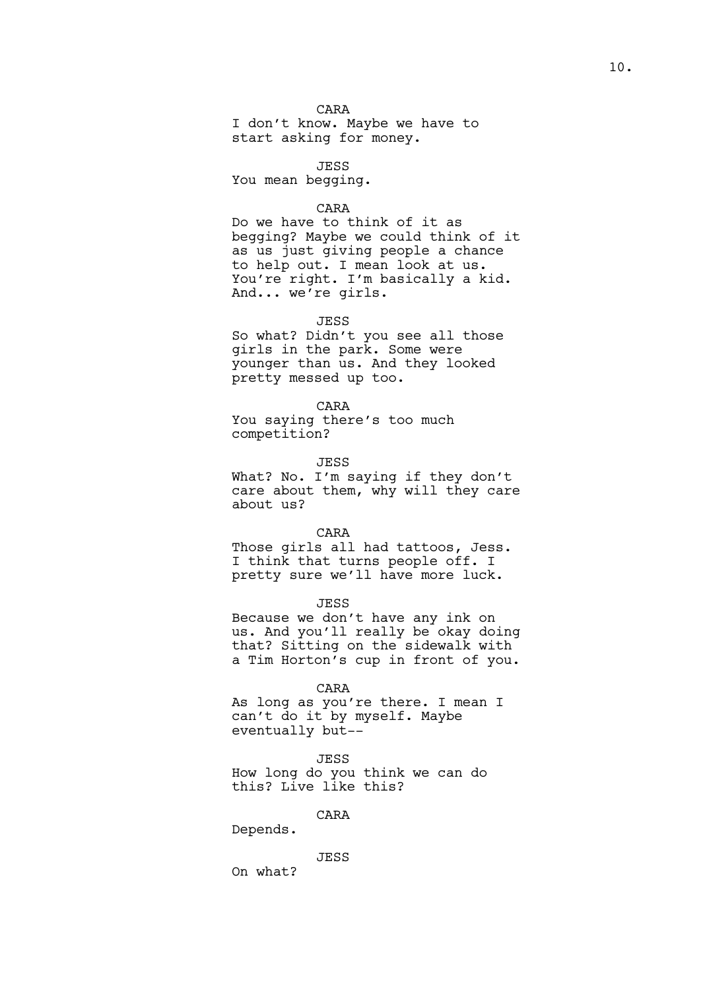# CARA

I don't know. Maybe we have to start asking for money.

**JESS** 

You mean begging.

## CARA

Do we have to think of it as begging? Maybe we could think of it as us just giving people a chance to help out. I mean look at us. You're right. I'm basically a kid. And... we're girls.

#### JESS

So what? Didn't you see all those girls in the park. Some were younger than us. And they looked pretty messed up too.

## CARA

You saying there's too much competition?

JESS

What? No. I'm saying if they don't care about them, why will they care about us?

#### CARA

Those girls all had tattoos, Jess. I think that turns people off. I pretty sure we'll have more luck.

#### JESS

Because we don't have any ink on us. And you'll really be okay doing that? Sitting on the sidewalk with a Tim Horton's cup in front of you.

#### CARA

As long as you're there. I mean I can't do it by myself. Maybe eventually but--

#### JESS

How long do you think we can do this? Live like this?

# CARA

Depends.

### JESS

On what?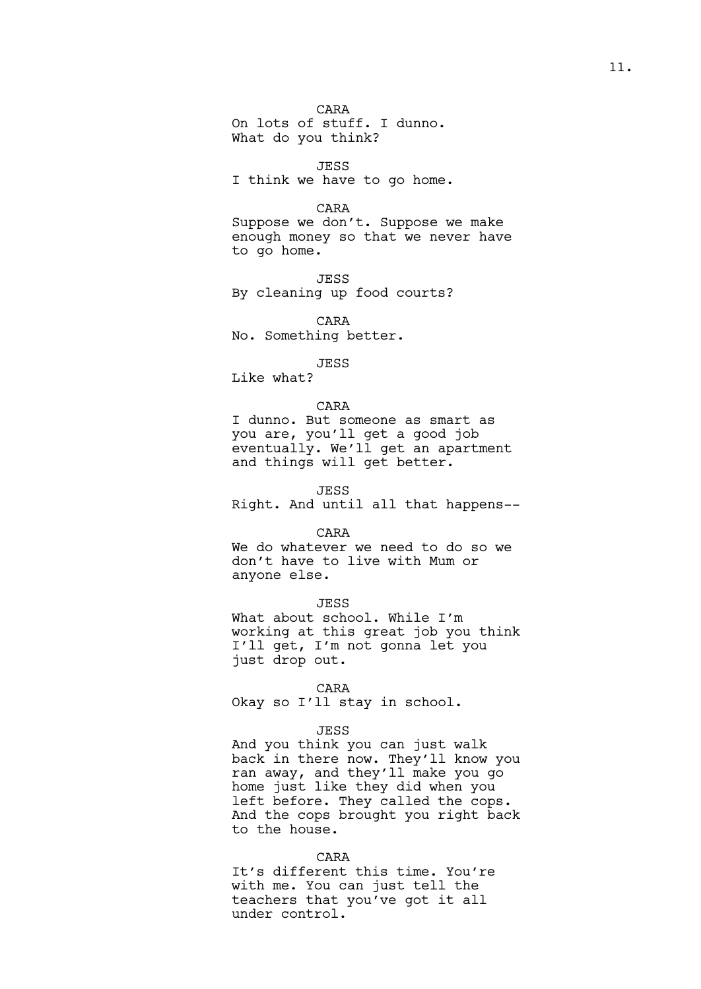CARA On lots of stuff. I dunno. What do you think?

JESS I think we have to go home.

# CARA

Suppose we don't. Suppose we make enough money so that we never have to go home.

JESS By cleaning up food courts?

CARA No. Something better.

# JESS

Like what?

### CARA

I dunno. But someone as smart as you are, you'll get a good job eventually. We'll get an apartment and things will get better.

JESS

Right. And until all that happens--

#### CARA

We do whatever we need to do so we don't have to live with Mum or anyone else.

#### JESS

What about school. While I'm working at this great job you think I'll get, I'm not gonna let you just drop out.

#### CARA

Okay so I'll stay in school.

# JESS

And you think you can just walk back in there now. They'll know you ran away, and they'll make you go home just like they did when you left before. They called the cops. And the cops brought you right back to the house.

## CARA

It's different this time. You're with me. You can just tell the teachers that you've got it all under control.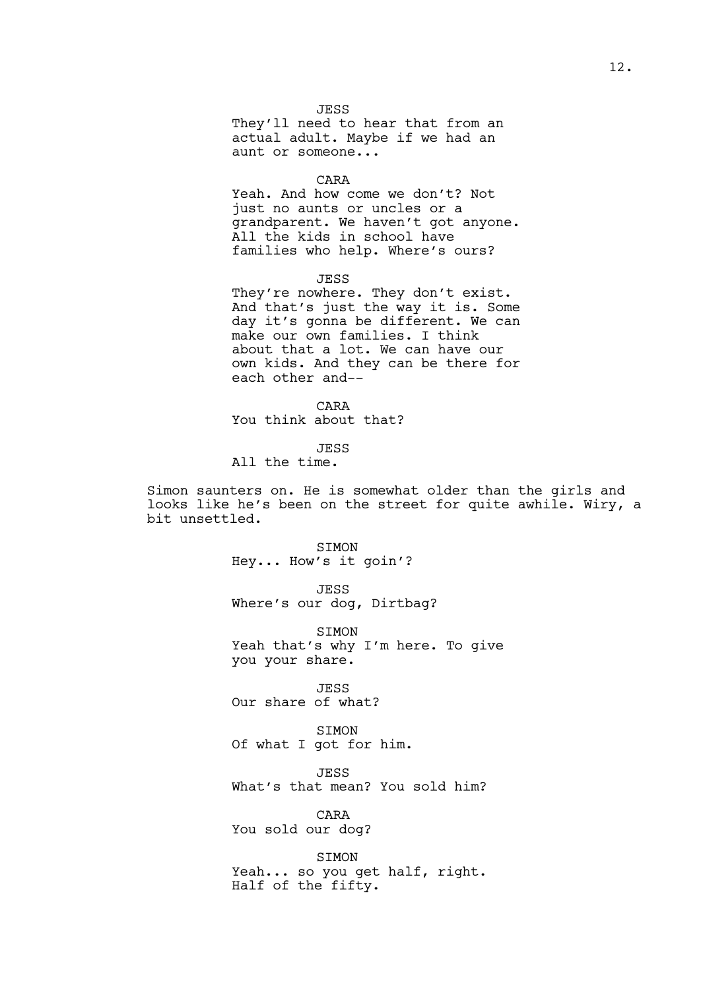JESS They'll need to hear that from an actual adult. Maybe if we had an aunt or someone...

#### CARA

Yeah. And how come we don't? Not just no aunts or uncles or a grandparent. We haven't got anyone. All the kids in school have families who help. Where's ours?

JESS

They're nowhere. They don't exist. And that's just the way it is. Some day it's gonna be different. We can make our own families. I think about that a lot. We can have our own kids. And they can be there for each other and--

CARA

You think about that?

JESS

All the time.

Simon saunters on. He is somewhat older than the girls and looks like he's been on the street for quite awhile. Wiry, a bit unsettled.

SIMON

Hey... How's it goin'?

JESS

Where's our dog, Dirtbag?

SIMON Yeah that's why I'm here. To give you your share.

JESS Our share of what?

SIMON Of what I got for him.

JESS

What's that mean? You sold him?

CARA You sold our dog?

SIMON Yeah... so you get half, right. Half of the fifty.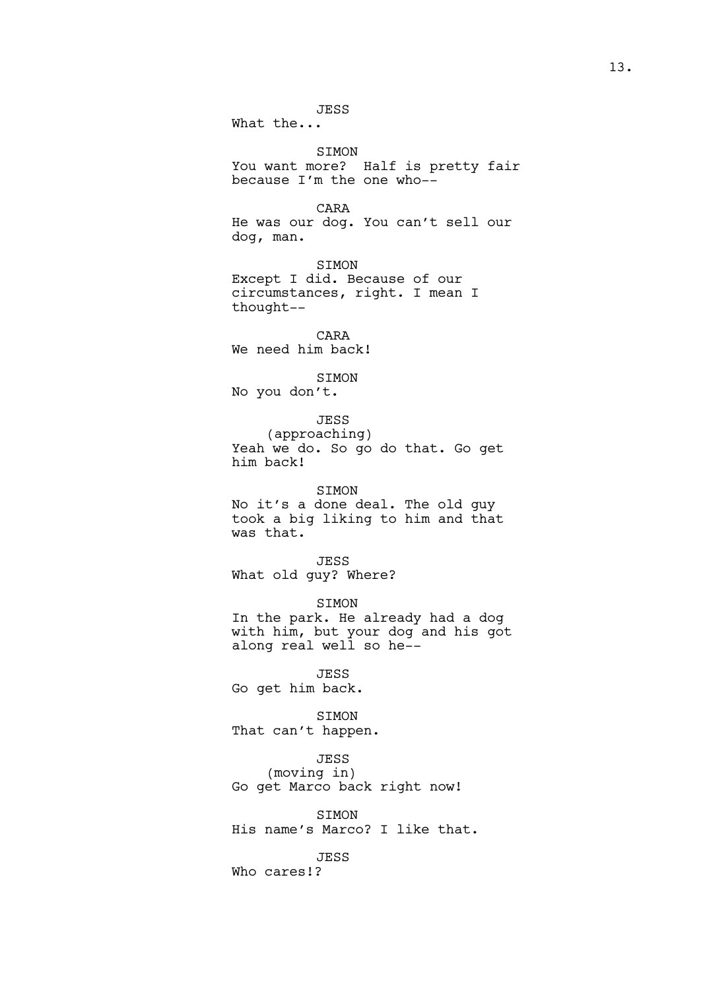JESS

What the...

SIMON

You want more? Half is pretty fair because I'm the one who--

CARA

He was our dog. You can't sell our dog, man.

SIMON Except I did. Because of our circumstances, right. I mean I thought--

CARA We need him back!

SIMON No you don't.

JESS (approaching)

Yeah we do. So go do that. Go get him back!

SIMON No it's a done deal. The old guy took a big liking to him and that was that.

JESS What old guy? Where?

SIMON In the park. He already had a dog with him, but your dog and his got along real well so he--

JESS Go get him back.

SIMON That can't happen.

JESS (moving in) Go get Marco back right now!

SIMON His name's Marco? I like that.

JESS

Who cares!?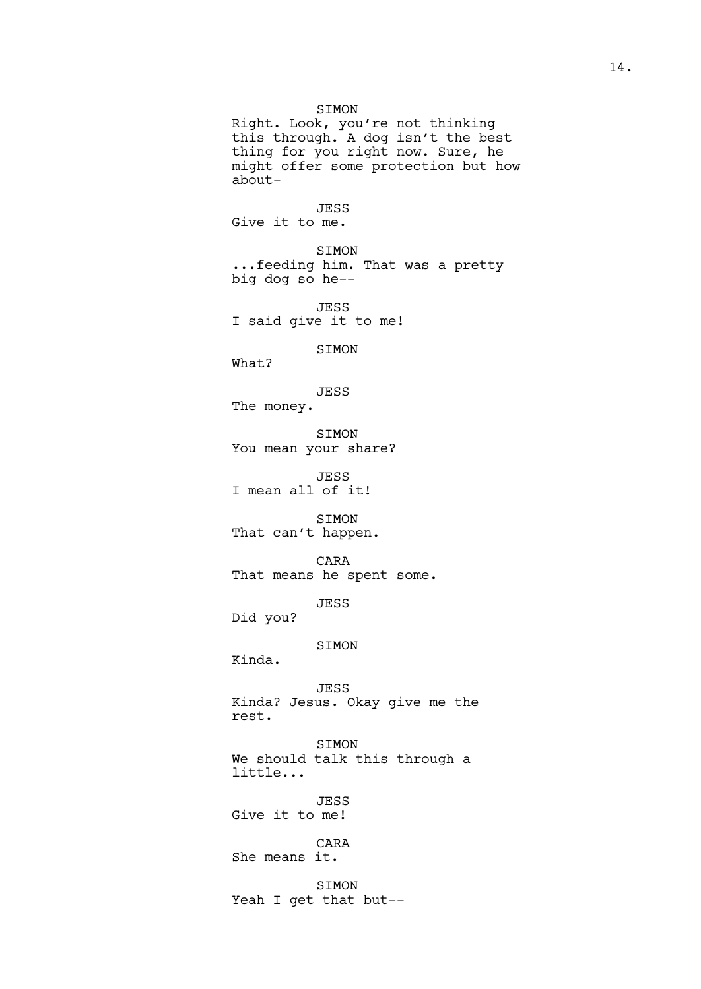## SIMON

Right. Look, you're not thinking this through. A dog isn't the best thing for you right now. Sure, he might offer some protection but how about-

JESS Give it to me.

SIMON ...feeding him. That was a pretty big dog so he--

JESS I said give it to me!

SIMON

What?

JESS The money.

SIMON You mean your share?

JESS I mean all of it!

SIMON That can't happen.

CARA That means he spent some.

JESS

Did you?

# SIMON

Kinda.

JESS Kinda? Jesus. Okay give me the rest.

SIMON We should talk this through a little...

JESS Give it to me!

CARA She means it.

SIMON Yeah I get that but--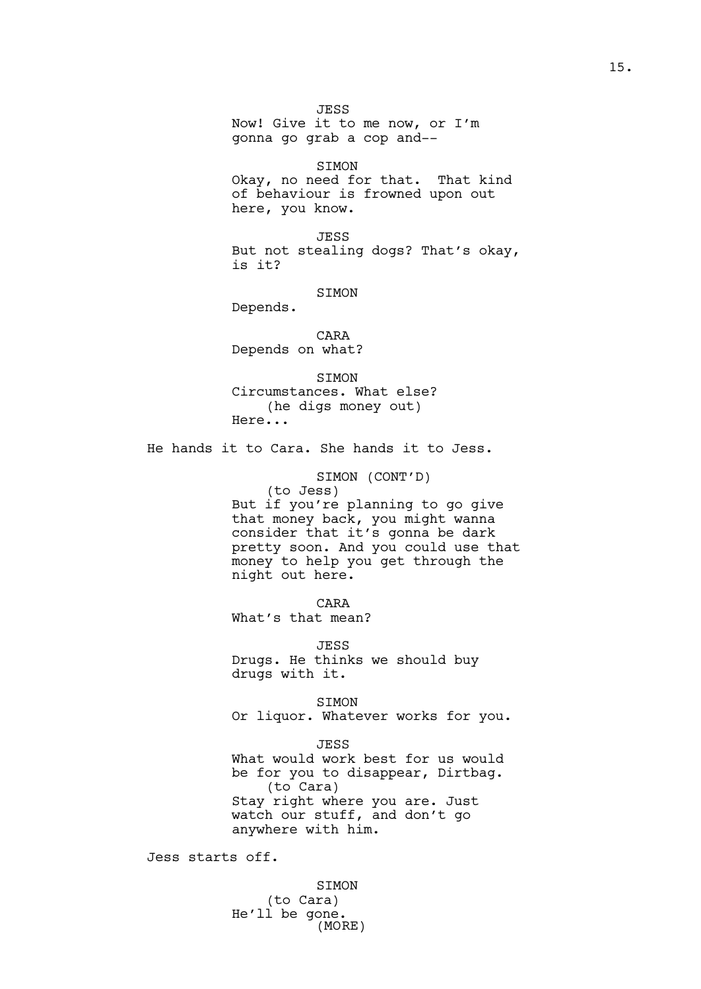JESS Now! Give it to me now, or I'm gonna go grab a cop and--

SIMON Okay, no need for that. That kind of behaviour is frowned upon out here, you know.

JESS But not stealing dogs? That's okay, is it?

SIMON

Depends.

CARA Depends on what?

SIMON Circumstances. What else? (he digs money out) Here...

He hands it to Cara. She hands it to Jess.

SIMON (CONT'D) (to Jess) But if you're planning to go give that money back, you might wanna consider that it's gonna be dark pretty soon. And you could use that money to help you get through the night out here.

CARA What's that mean?

JESS Drugs. He thinks we should buy drugs with it.

SIMON Or liquor. Whatever works for you.

JESS What would work best for us would be for you to disappear, Dirtbag. (to Cara) Stay right where you are. Just watch our stuff, and don't go anywhere with him.

Jess starts off.

SIMON (to Cara) He'll be gone. (MORE)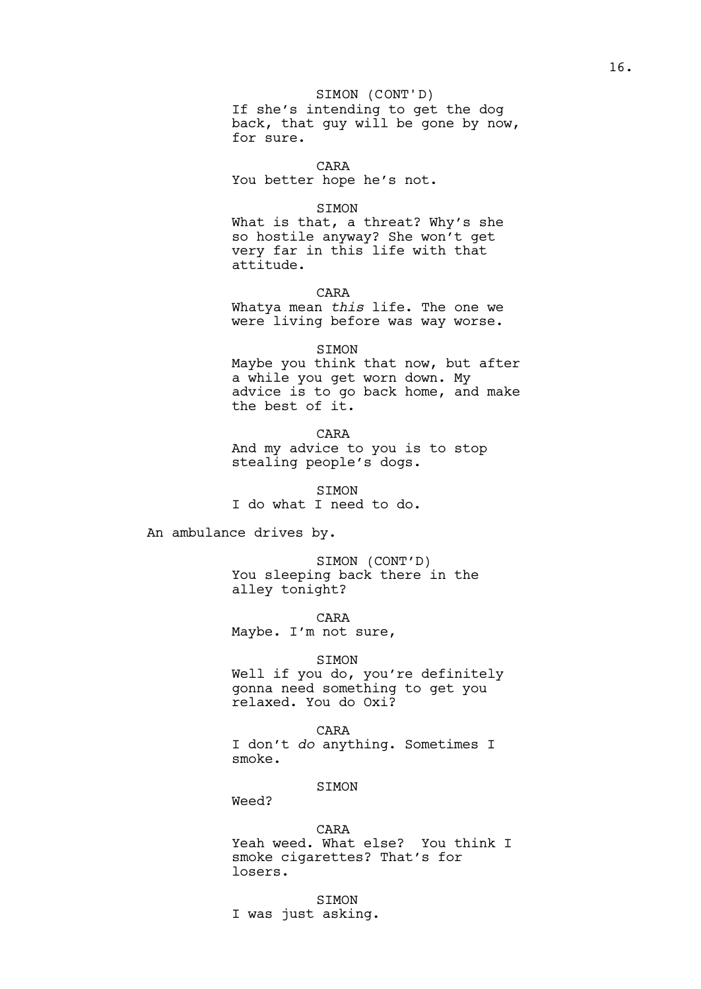# SIMON (CONT'D)

If she's intending to get the dog back, that guy will be gone by now, for sure.

CARA You better hope he's not.

#### SIMON

What is that, a threat? Why's she so hostile anyway? She won't get very far in this life with that attitude.

## CARA

Whatya mean *this* life. The one we were living before was way worse.

## SIMON

Maybe you think that now, but after a while you get worn down. My advice is to go back home, and make the best of it.

## CARA

And my advice to you is to stop stealing people's dogs.

SIMON I do what I need to do.

An ambulance drives by.

SIMON (CONT'D) You sleeping back there in the alley tonight?

CARA Maybe. I'm not sure,

### SIMON

Well if you do, you're definitely gonna need something to get you relaxed. You do Oxi?

# CARA

I don't *do* anything. Sometimes I smoke.

# SIMON

Weed?

#### CARA

Yeah weed. What else? You think I smoke cigarettes? That's for losers.

SIMON I was just asking.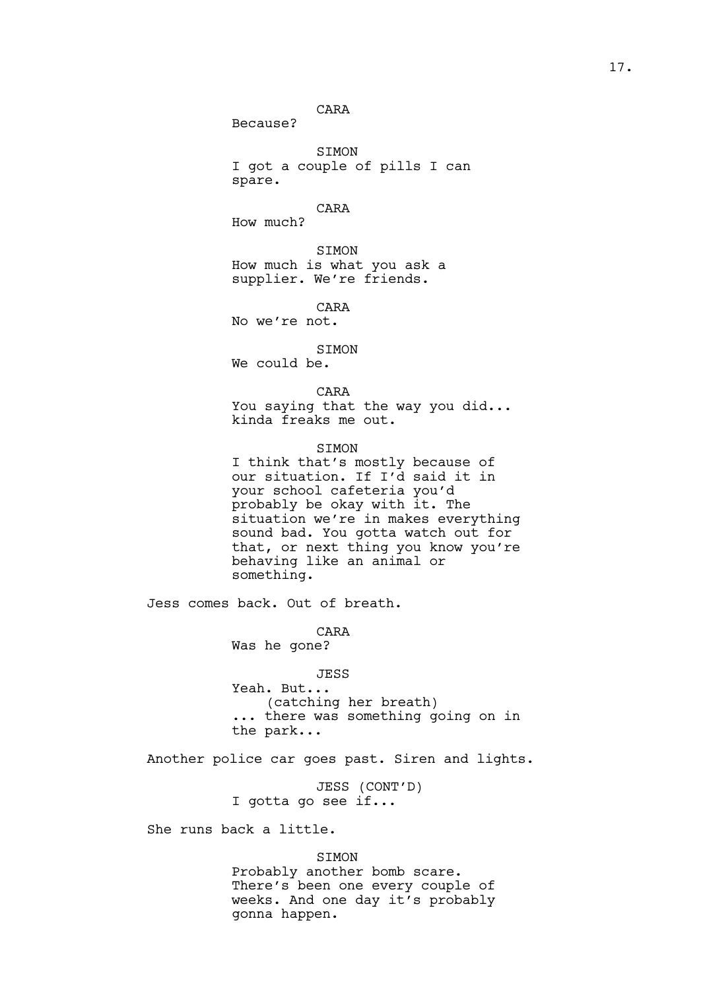CARA

Because?

SIMON I got a couple of pills I can spare.

CARA

How much?

SIMON How much is what you ask a supplier. We're friends.

CARA No we're not.

SIMON

We could be.

CARA

You saying that the way you did... kinda freaks me out.

SIMON

I think that's mostly because of our situation. If I'd said it in your school cafeteria you'd probably be okay with it. The situation we're in makes everything sound bad. You gotta watch out for that, or next thing you know you're behaving like an animal or something.

Jess comes back. Out of breath.

CARA

Was he gone?

JESS Yeah. But... (catching her breath) ... there was something going on in the park...

Another police car goes past. Siren and lights.

JESS (CONT'D) I gotta go see if...

She runs back a little.

SIMON

Probably another bomb scare. There's been one every couple of weeks. And one day it's probably gonna happen.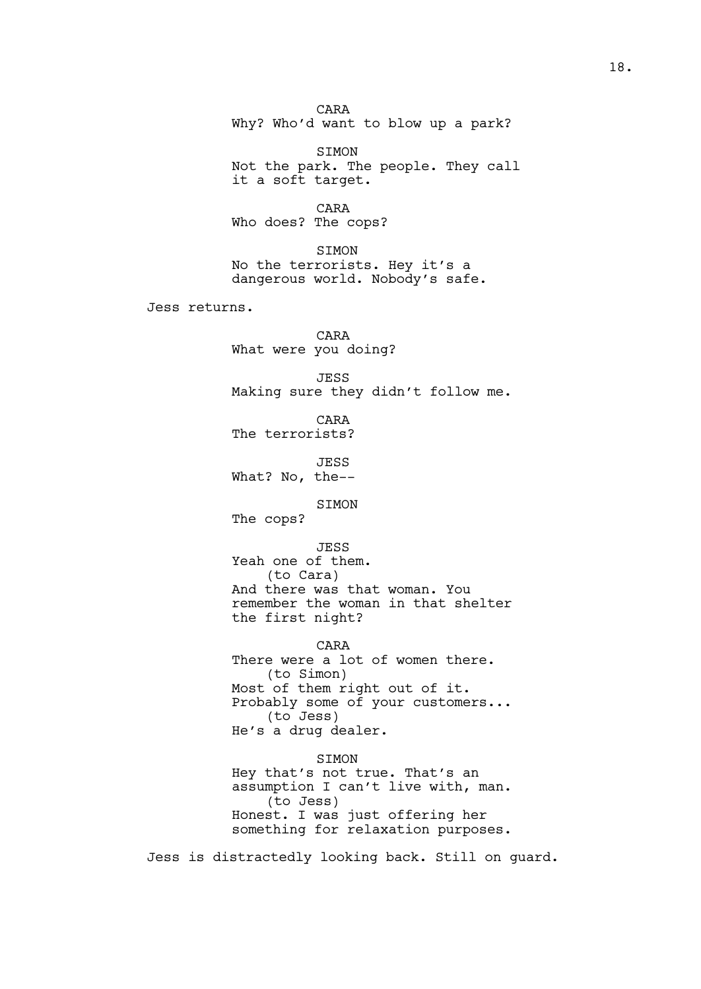CARA Why? Who'd want to blow up a park?

SIMON Not the park. The people. They call it a soft target.

CARA Who does? The cops?

SIMON No the terrorists. Hey it's a dangerous world. Nobody's safe.

Jess returns.

CARA What were you doing?

JESS Making sure they didn't follow me.

CARA The terrorists?

JESS What? No, the--

SIMON

The cops?

JESS Yeah one of them. (to Cara) And there was that woman. You remember the woman in that shelter the first night?

CARA There were a lot of women there. (to Simon) Most of them right out of it. Probably some of your customers... (to Jess) He's a drug dealer.

SIMON Hey that's not true. That's an assumption I can't live with, man. (to Jess) Honest. I was just offering her something for relaxation purposes.

Jess is distractedly looking back. Still on guard.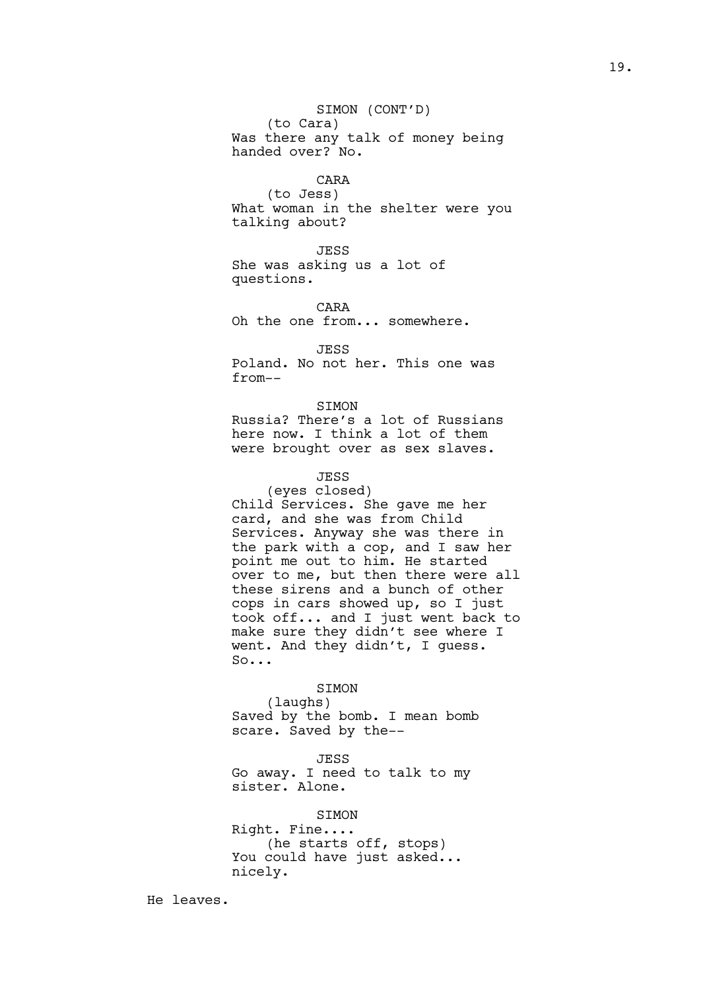# SIMON (CONT'D)

(to Cara) Was there any talk of money being handed over? No.

## CARA

(to Jess) What woman in the shelter were you talking about?

JESS She was asking us a lot of questions.

CARA Oh the one from... somewhere.

JESS Poland. No not her. This one was from--

## SIMON

Russia? There's a lot of Russians here now. I think a lot of them were brought over as sex slaves.

# JESS

(eyes closed) Child Services. She gave me her card, and she was from Child Services. Anyway she was there in the park with a cop, and I saw her point me out to him. He started over to me, but then there were all these sirens and a bunch of other cops in cars showed up, so I just took off... and I just went back to make sure they didn't see where I went. And they didn't, I guess. So...

#### SIMON

(laughs) Saved by the bomb. I mean bomb scare. Saved by the--

JESS

Go away. I need to talk to my sister. Alone.

# SIMON

Right. Fine.... (he starts off, stops) You could have just asked... nicely.

He leaves.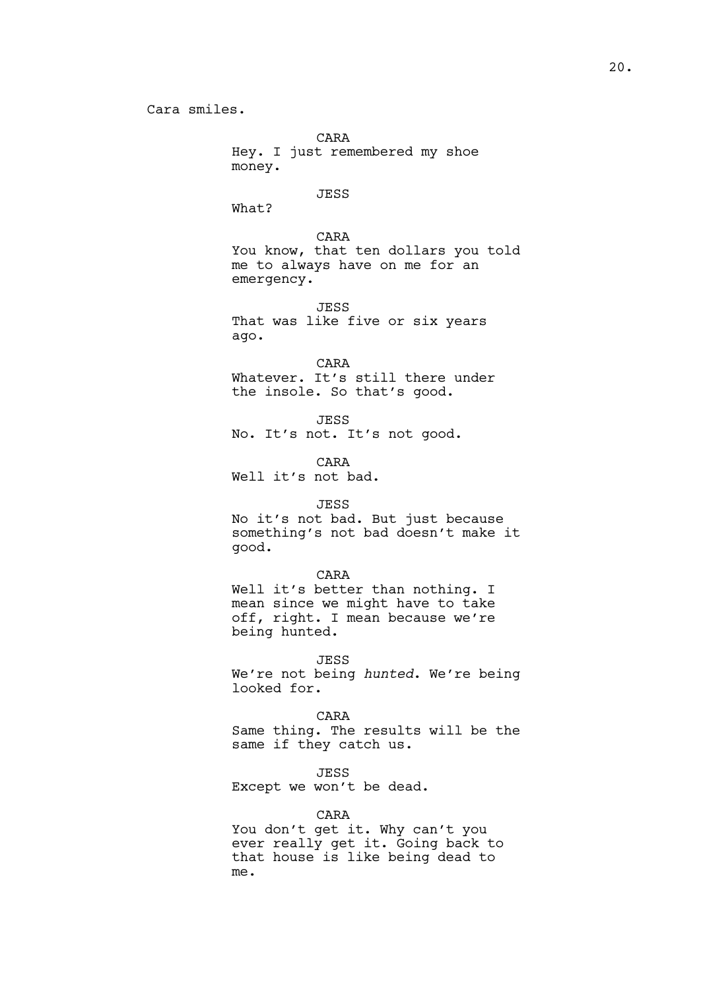CARA Hey. I just remembered my shoe money.

#### JESS

What?

CARA You know, that ten dollars you told me to always have on me for an emergency.

JESS That was like five or six years ago.

CARA Whatever. It's still there under the insole. So that's good.

JESS No. It's not. It's not good.

CARA Well it's not bad.

# JESS

No it's not bad. But just because something's not bad doesn't make it good.

#### CARA

Well it's better than nothing. I mean since we might have to take off, right. I mean because we're being hunted.

#### JESS

We're not being *hunted*. We're being looked for.

#### CARA

Same thing. The results will be the same if they catch us.

#### JESS

Except we won't be dead.

## CARA

You don't get it. Why can't you ever really get it. Going back to that house is like being dead to me.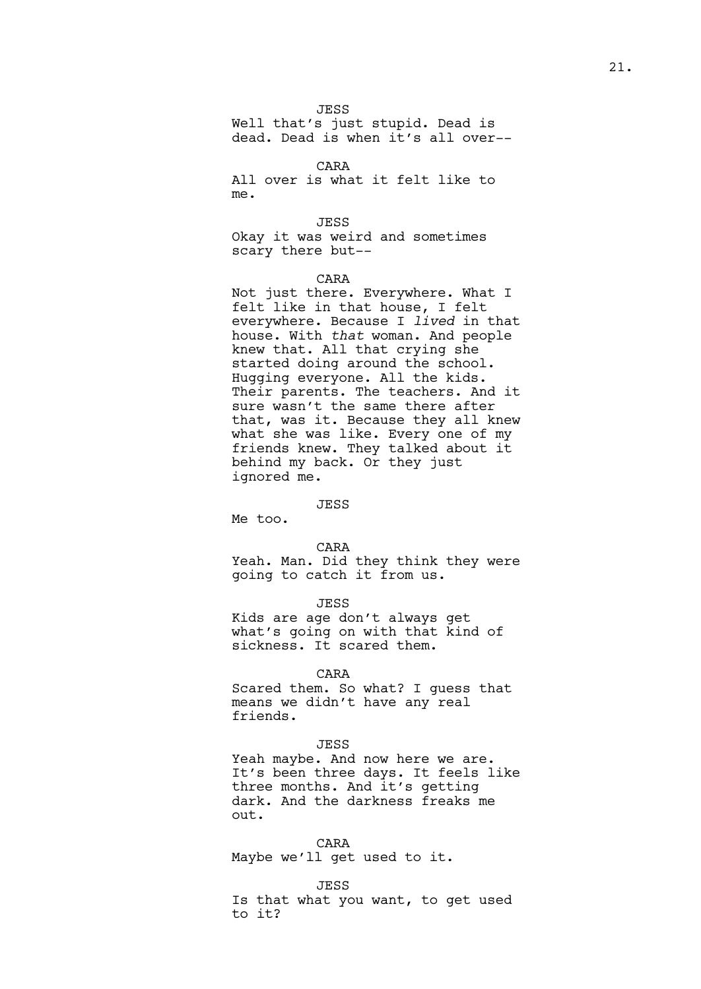21.

JESS

Well that's just stupid. Dead is dead. Dead is when it's all over--

CARA

All over is what it felt like to me.

JESS

Okay it was weird and sometimes scary there but--

# CARA

Not just there. Everywhere. What I felt like in that house, I felt everywhere. Because I *lived* in that house. With *that* woman. And people knew that. All that crying she started doing around the school. Hugging everyone. All the kids. Their parents. The teachers. And it sure wasn't the same there after that, was it. Because they all knew what she was like. Every one of my friends knew. They talked about it behind my back. Or they just ignored me.

## **JESS**

Me too.

#### CARA

Yeah. Man. Did they think they were going to catch it from us.

JESS

Kids are age don't always get what's going on with that kind of sickness. It scared them.

#### CARA

Scared them. So what? I guess that means we didn't have any real friends.

## JESS

Yeah maybe. And now here we are. It's been three days. It feels like three months. And it's getting dark. And the darkness freaks me out.

CARA Maybe we'll get used to it.

#### JESS

Is that what you want, to get used to it?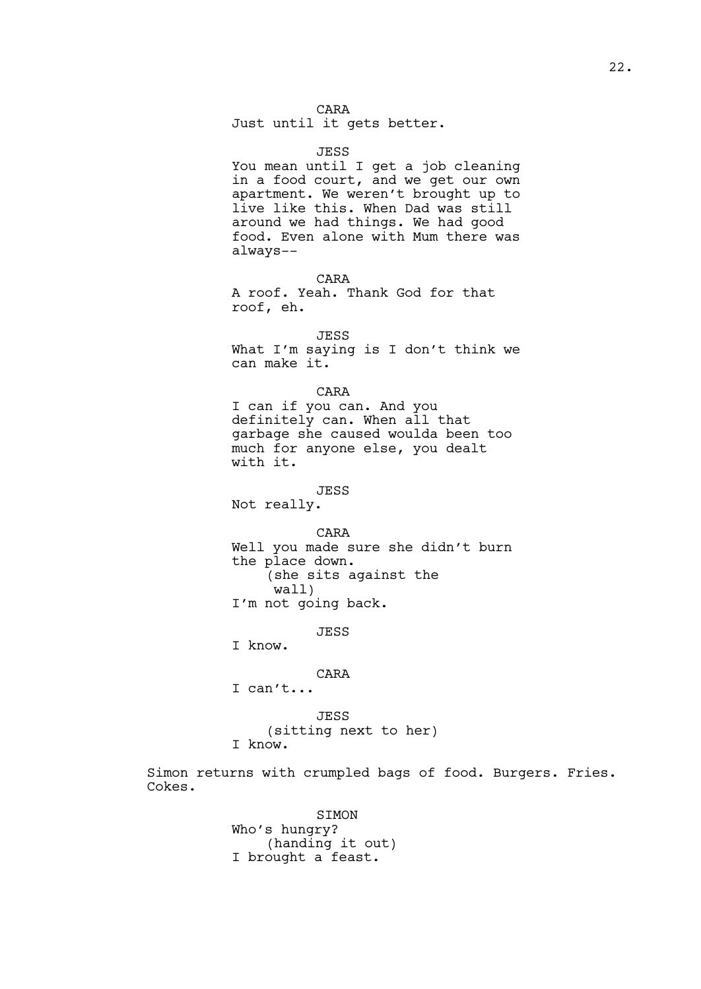CARA

Just until it gets better.

JESS You mean until I get a job cleaning in a food court, and we get our own apartment. We weren't brought up to live like this. When Dad was still around we had things. We had good food. Even alone with Mum there was always--

CARA A roof. Yeah. Thank God for that roof, eh.

JESS

What I'm saying is I don't think we can make it.

# CARA

I can if you can. And you definitely can. When all that garbage she caused woulda been too much for anyone else, you dealt with it.

JESS

Not really.

CARA

Well you made sure she didn't burn the place down. (she sits against the wall) I'm not going back.

JESS

I know.

## CARA

I can't...

JESS

(sitting next to her)

I know.

Simon returns with crumpled bags of food. Burgers. Fries. Cokes.

> SIMON Who's hungry? (handing it out) I brought a feast.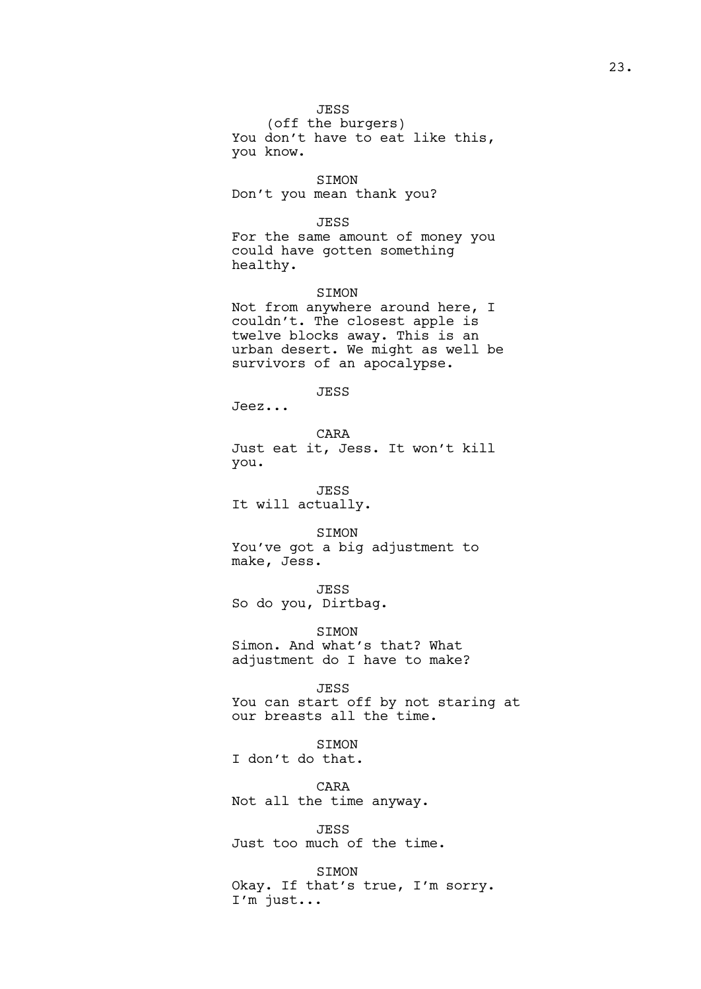JESS

(off the burgers) You don't have to eat like this, you know.

SIMON Don't you mean thank you?

JESS

For the same amount of money you could have gotten something healthy.

SIMON

Not from anywhere around here, I couldn't. The closest apple is twelve blocks away. This is an urban desert. We might as well be survivors of an apocalypse.

JESS

Jeez...

CARA Just eat it, Jess. It won't kill you.

JESS It will actually.

SIMON You've got a big adjustment to make, Jess.

JESS So do you, Dirtbag.

**STMON** Simon. And what's that? What adjustment do I have to make?

JESS You can start off by not staring at our breasts all the time.

SIMON I don't do that.

CARA Not all the time anyway.

JESS Just too much of the time.

SIMON Okay. If that's true, I'm sorry. I'm just...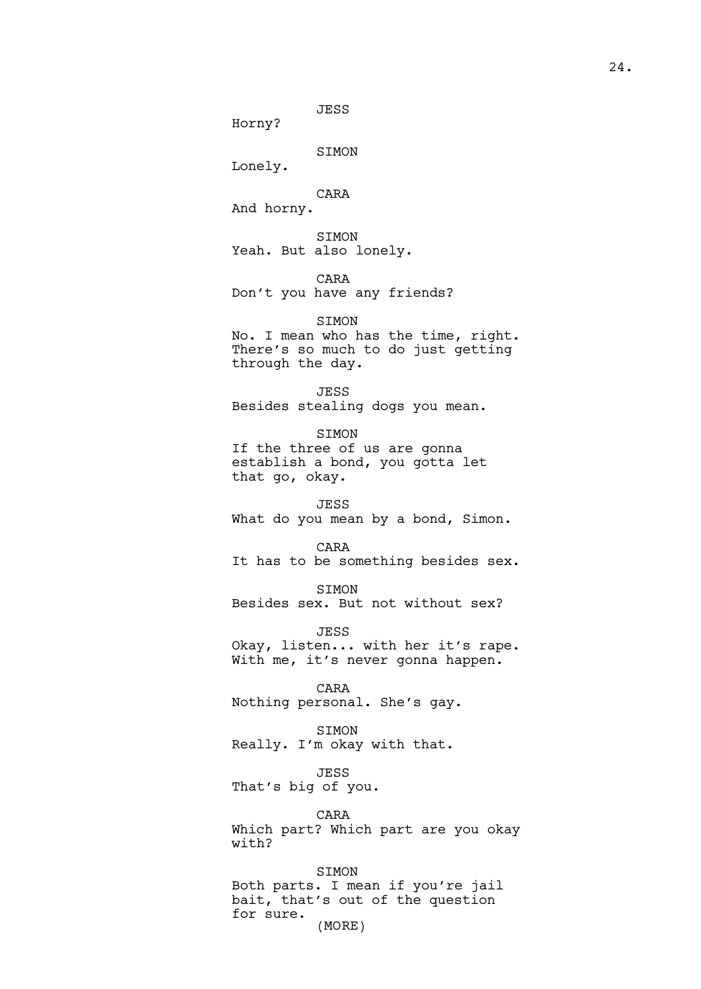JESS

Horny?

SIMON

Lonely.

CARA

And horny.

SIMON Yeah. But also lonely.

CARA

Don't you have any friends?

SIMON No. I mean who has the time, right. There's so much to do just getting through the day.

JESS Besides stealing dogs you mean.

SIMON If the three of us are gonna establish a bond, you gotta let that go, okay.

JESS What do you mean by a bond, Simon.

CARA It has to be something besides sex.

SIMON Besides sex. But not without sex?

JESS Okay, listen... with her it's rape. With me, it's never gonna happen.

CARA Nothing personal. She's gay.

SIMON Really. I'm okay with that.

JESS That's big of you.

CARA Which part? Which part are you okay with?

SIMON Both parts. I mean if you're jail bait, that's out of the question for sure. (MORE)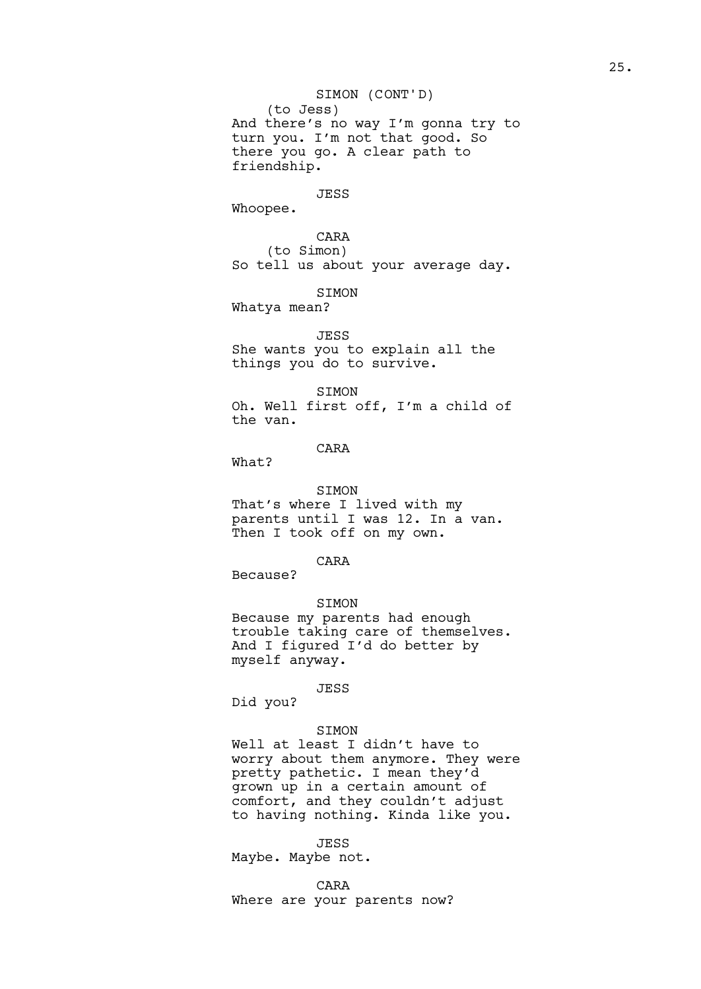# SIMON (CONT'D)

(to Jess) And there's no way I'm gonna try to turn you. I'm not that good. So there you go. A clear path to friendship.

#### JESS

Whoopee.

CARA (to Simon) So tell us about your average day.

SIMON

Whatya mean?

# JESS

She wants you to explain all the things you do to survive.

SIMON Oh. Well first off, I'm a child of the van.

## CARA

What?

SIMON That's where I lived with my parents until I was 12. In a van. Then I took off on my own.

# CARA

Because?

## SIMON

Because my parents had enough trouble taking care of themselves. And I figured I'd do better by myself anyway.

#### JESS

Did you?

# SIMON

Well at least I didn't have to worry about them anymore. They were pretty pathetic. I mean they'd grown up in a certain amount of comfort, and they couldn't adjust to having nothing. Kinda like you.

#### JESS

Maybe. Maybe not.

### CARA

Where are your parents now?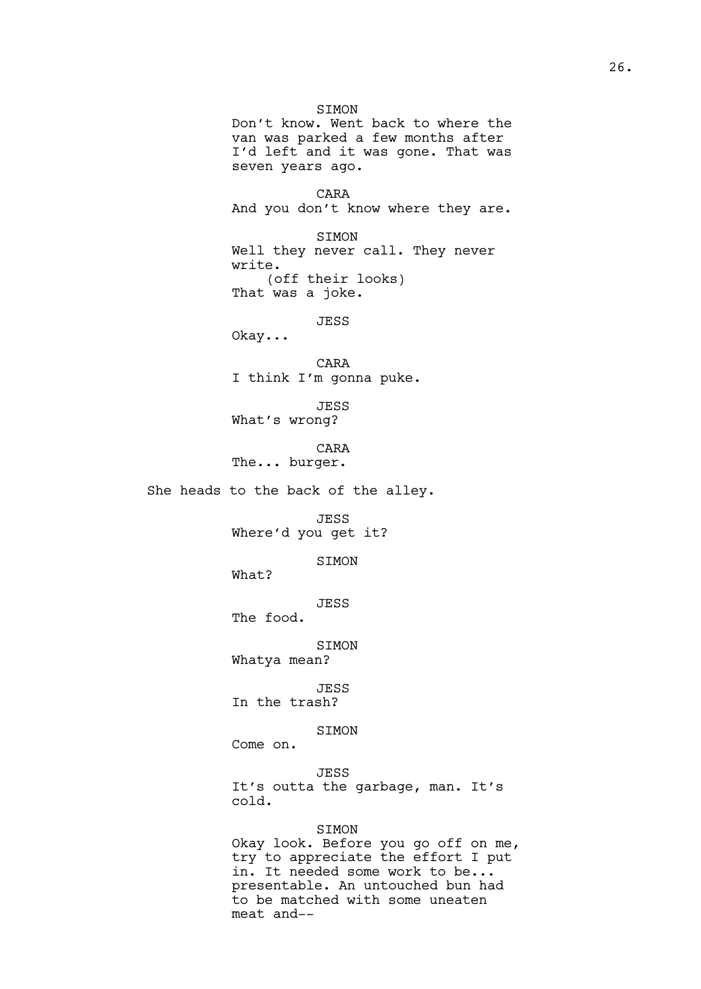SIMON Don't know. Went back to where the van was parked a few months after I'd left and it was gone. That was seven years ago. CARA And you don't know where they are. SIMON Well they never call. They never write. (off their looks) That was a joke. JESS Okay... CARA I think I'm gonna puke. JESS What's wrong? CARA The... burger. She heads to the back of the alley. JESS Where'd you get it? SIMON What? JESS The food. SIMON Whatya mean? JESS In the trash? SIMON Come on. JESS It's outta the garbage, man. It's cold. SIMON Okay look. Before you go off on me, try to appreciate the effort I put in. It needed some work to be... presentable. An untouched bun had to be matched with some uneaten

meat and--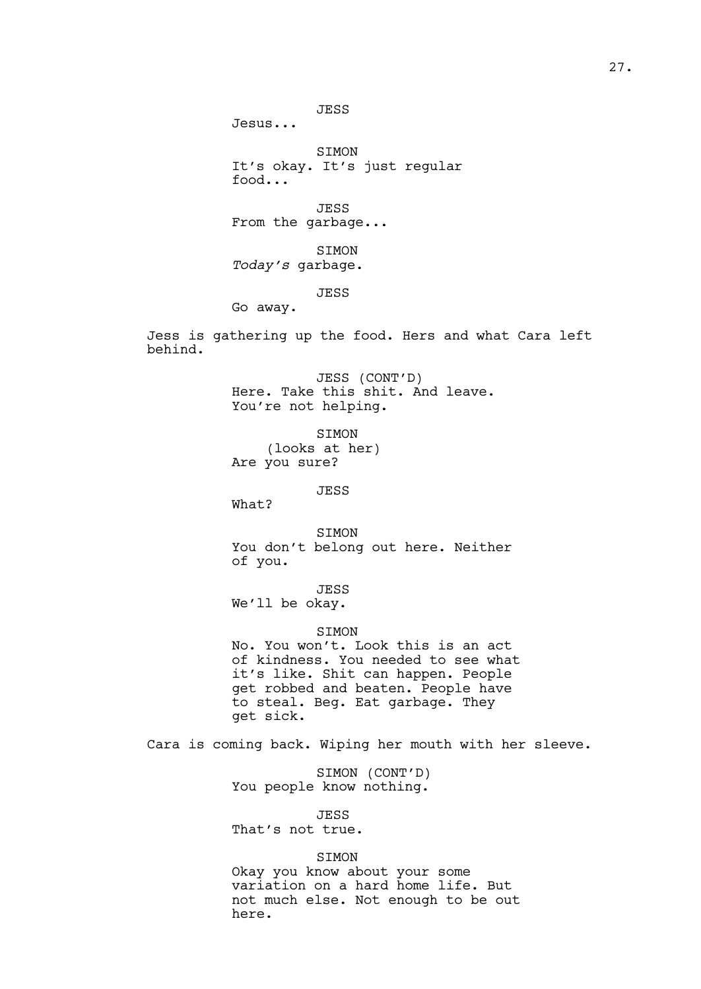Jesus...

SIMON It's okay. It's just regular food...

JESS From the garbage...

SIMON *Today's* garbage.

JESS

Go away.

Jess is gathering up the food. Hers and what Cara left behind.

> JESS (CONT'D) Here. Take this shit. And leave. You're not helping.

SIMON (looks at her) Are you sure?

JESS

What?

SIMON You don't belong out here. Neither of you.

JESS

We'll be okay.

## **STMON**

No. You won't. Look this is an act of kindness. You needed to see what it's like. Shit can happen. People get robbed and beaten. People have to steal. Beg. Eat garbage. They get sick.

Cara is coming back. Wiping her mouth with her sleeve.

SIMON (CONT'D) You people know nothing.

JESS That's not true.

# SIMON

Okay you know about your some variation on a hard home life. But not much else. Not enough to be out here.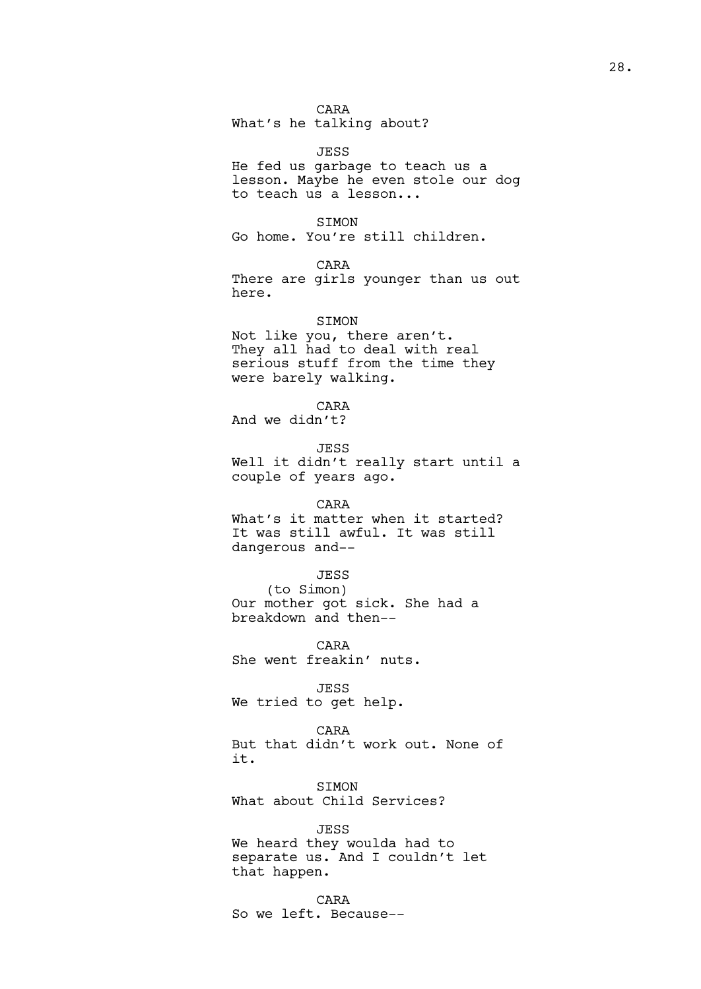CARA What's he talking about?

JESS He fed us garbage to teach us a lesson. Maybe he even stole our dog to teach us a lesson...

SIMON Go home. You're still children.

CARA There are girls younger than us out here.

SIMON Not like you, there aren't. They all had to deal with real serious stuff from the time they were barely walking.

CARA And we didn't?

JESS Well it didn't really start until a couple of years ago.

### CARA

What's it matter when it started? It was still awful. It was still dangerous and--

## JESS

(to Simon) Our mother got sick. She had a breakdown and then--

CARA She went freakin' nuts.

JESS We tried to get help.

CARA But that didn't work out. None of it.

SIMON What about Child Services?

JESS We heard they woulda had to separate us. And I couldn't let that happen.

CARA So we left. Because--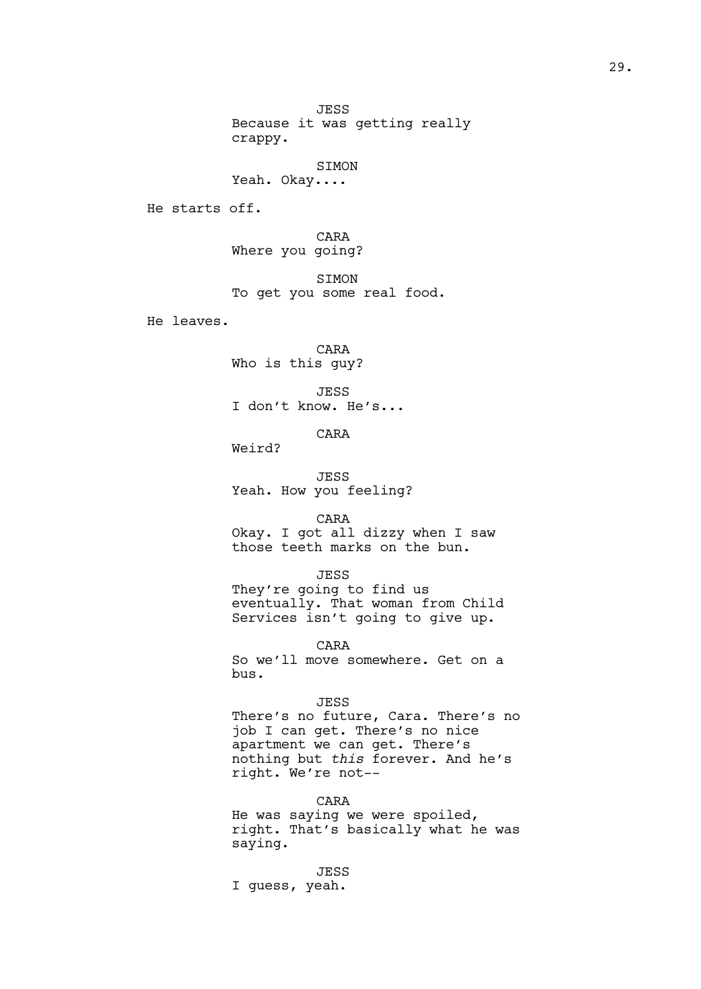JESS Because it was getting really crappy.

SIMON

He starts off.

CARA Where you going?

Yeah. Okay....

SIMON To get you some real food.

He leaves.

CARA Who is this guy?

JESS I don't know. He's...

CARA

Weird?

JESS Yeah. How you feeling?

CARA

Okay. I got all dizzy when I saw those teeth marks on the bun.

#### JESS

They're going to find us eventually. That woman from Child Services isn't going to give up.

CARA

So we'll move somewhere. Get on a bus.

## JESS

There's no future, Cara. There's no job I can get. There's no nice apartment we can get. There's nothing but *this* forever. And he's right. We're not--

# CARA

He was saying we were spoiled, right. That's basically what he was saying.

JESS I guess, yeah.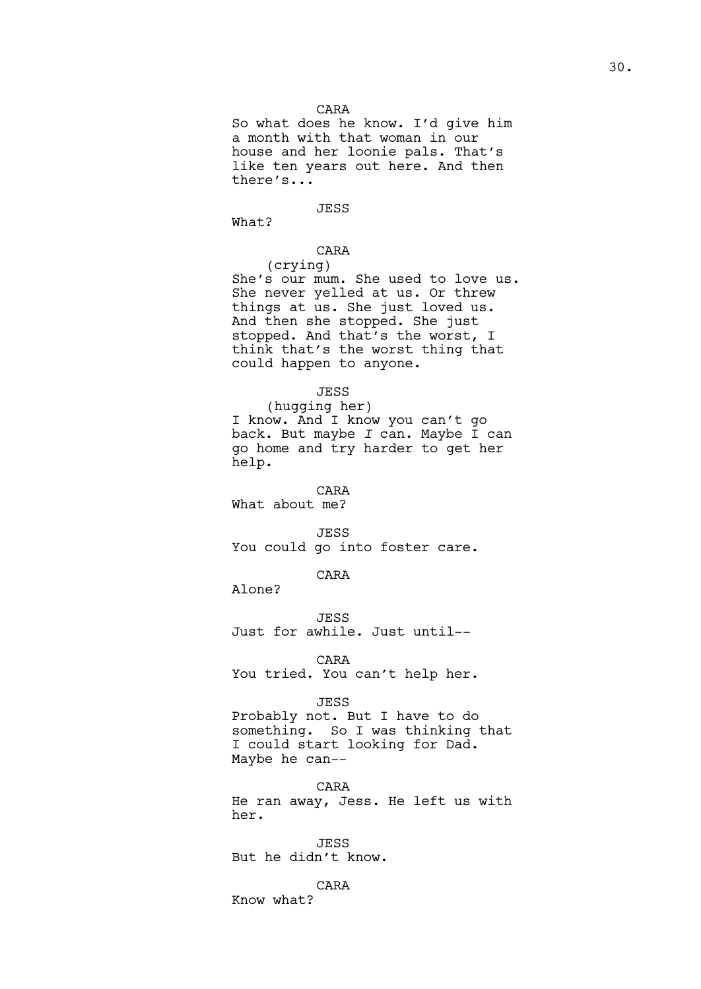# CARA

So what does he know. I'd give him a month with that woman in our house and her loonie pals. That's like ten years out here. And then there's...

# JESS

What?

# CARA

(crying) She's our mum. She used to love us. She never yelled at us. Or threw things at us. She just loved us. And then she stopped. She just stopped. And that's the worst, I think that's the worst thing that could happen to anyone.

### JESS

(hugging her) I know. And I know you can't go back. But maybe *I* can. Maybe I can go home and try harder to get her help.

CARA

What about me?

JESS

You could go into foster care.

CARA

Alone?

**JESS** Just for awhile. Just until--

CARA

You tried. You can't help her.

#### JESS

Probably not. But I have to do something. So I was thinking that I could start looking for Dad. Maybe he can--

CARA He ran away, Jess. He left us with her.

JESS But he didn't know.

CARA Know what?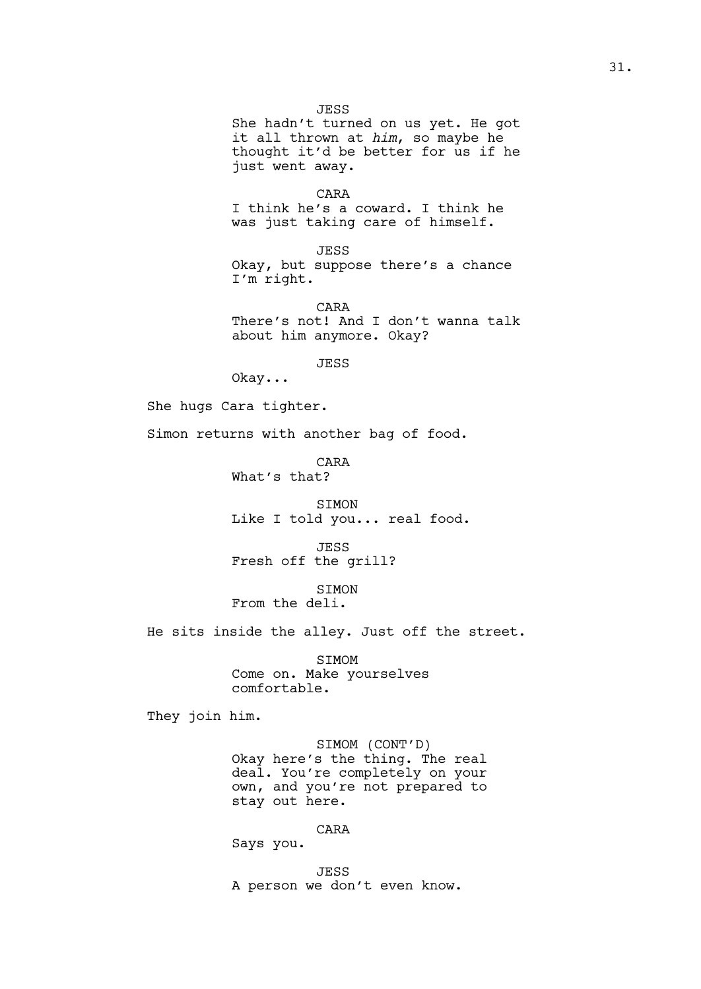JESS She hadn't turned on us yet. He got it all thrown at *him*, so maybe he thought it'd be better for us if he just went away.

CARA I think he's a coward. I think he was just taking care of himself.

JESS Okay, but suppose there's a chance I'm right.

CARA There's not! And I don't wanna talk about him anymore. Okay?

JESS

Okay...

She hugs Cara tighter.

Simon returns with another bag of food.

CARA What's that?

SIMON Like I told you... real food.

JESS Fresh off the grill?

SIMON

From the deli.

He sits inside the alley. Just off the street.

SIMOM Come on. Make yourselves comfortable.

They join him.

SIMOM (CONT'D) Okay here's the thing. The real deal. You're completely on your own, and you're not prepared to stay out here.

CARA

Says you.

JESS A person we don't even know.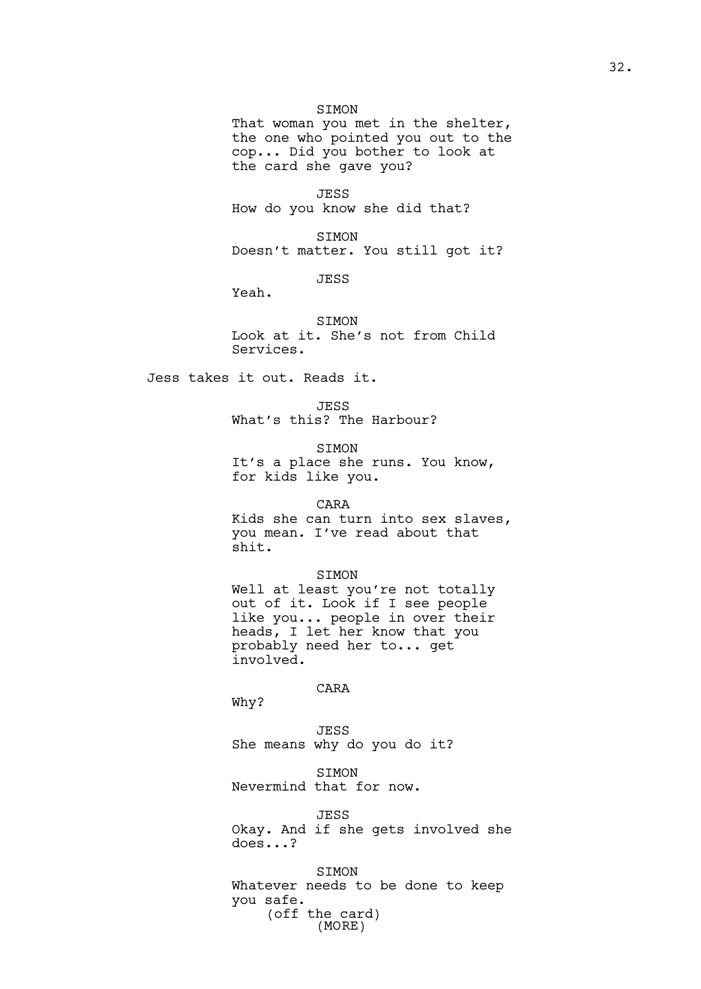## SIMON

That woman you met in the shelter, the one who pointed you out to the cop... Did you bother to look at the card she gave you?

JESS How do you know she did that?

SIMON Doesn't matter. You still got it?

JESS

Yeah.

SIMON Look at it. She's not from Child Services.

Jess takes it out. Reads it.

JESS What's this? The Harbour?

SIMON

It's a place she runs. You know, for kids like you.

CARA

Kids she can turn into sex slaves, you mean. I've read about that shit.

SIMON

Well at least you're not totally out of it. Look if I see people like you... people in over their heads, I let her know that you probably need her to... get involved.

CARA

Why?

JESS She means why do you do it?

SIMON Nevermind that for now.

JESS Okay. And if she gets involved she does...?

SIMON Whatever needs to be done to keep you safe. (off the card) (MORE)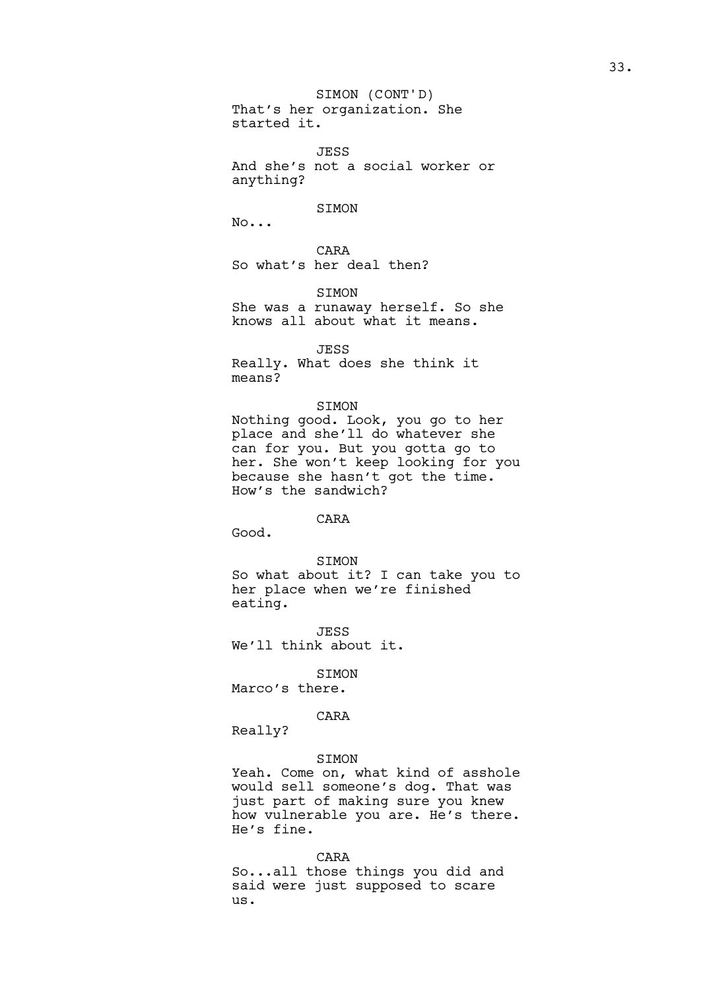That's her organization. She started it. SIMON (CONT'D)

JESS And she's not a social worker or anything?

SIMON

No...

CARA So what's her deal then?

SIMON She was a runaway herself. So she knows all about what it means.

JESS Really. What does she think it means?

## SIMON

Nothing good. Look, you go to her place and she'll do whatever she can for you. But you gotta go to her. She won't keep looking for you because she hasn't got the time. How's the sandwich?

# CARA

Good.

SIMON So what about it? I can take you to her place when we're finished eating.

**JESS** We'll think about it.

SIMON

Marco's there.

# CARA

Really?

## SIMON

Yeah. Come on, what kind of asshole would sell someone's dog. That was just part of making sure you knew how vulnerable you are. He's there. He's fine.

CARA

So...all those things you did and said were just supposed to scare us.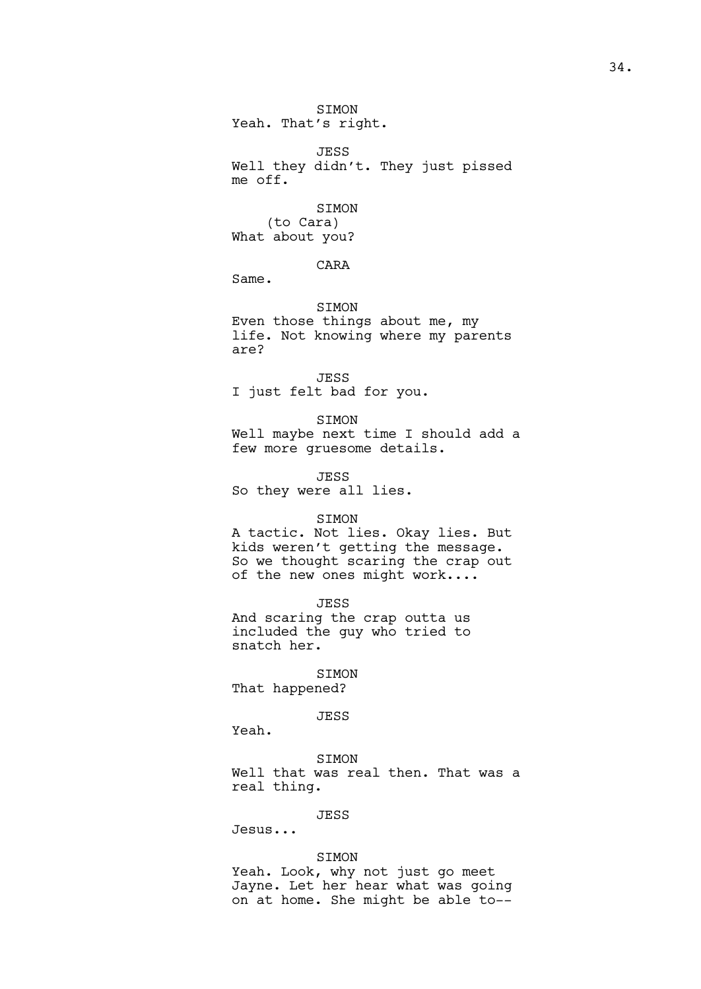SIMON Yeah. That's right.

JESS Well they didn't. They just pissed me off.

SIMON (to Cara) What about you?

CARA

Same.

SIMON Even those things about me, my life. Not knowing where my parents are?

JESS I just felt bad for you.

SIMON Well maybe next time I should add a few more gruesome details.

JESS So they were all lies.

# SIMON

A tactic. Not lies. Okay lies. But kids weren't getting the message. So we thought scaring the crap out of the new ones might work....

JESS And scaring the crap outta us included the guy who tried to snatch her.

SIMON That happened?

JESS

Yeah.

SIMON Well that was real then. That was a real thing.

JESS

Jesus...

# SIMON

Yeah. Look, why not just go meet Jayne. Let her hear what was going on at home. She might be able to--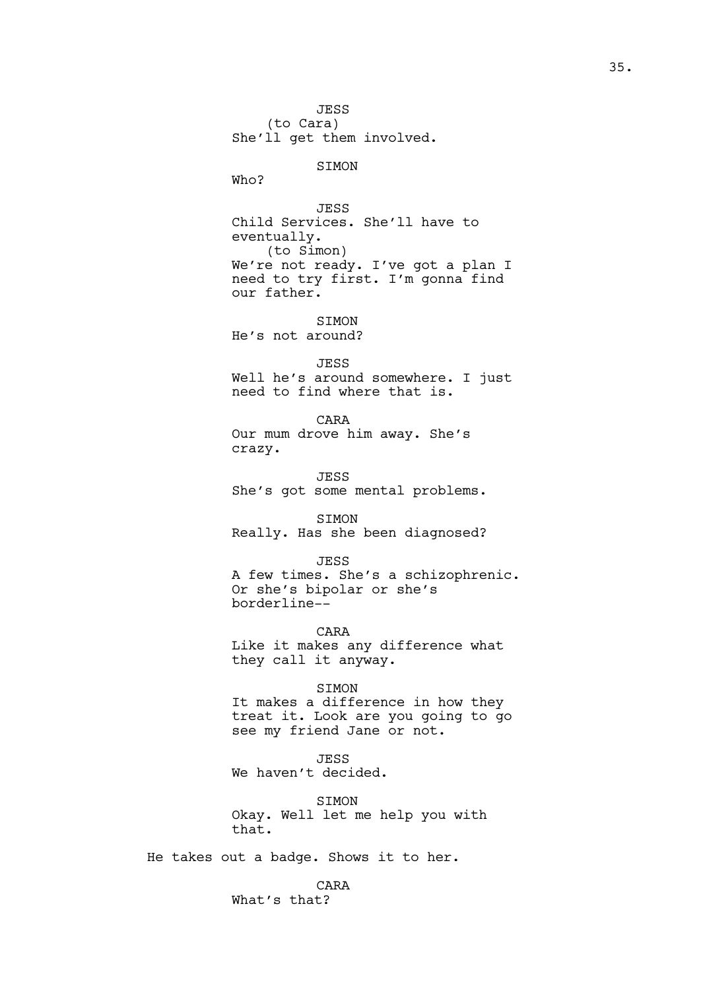JESS (to Cara) She'll get them involved.

SIMON

Who?

JESS Child Services. She'll have to eventually. (to Simon) We're not ready. I've got a plan I need to try first. I'm gonna find our father.

**STMON** He's not around?

JESS

Well he's around somewhere. I just need to find where that is.

CARA Our mum drove him away. She's crazy.

JESS She's got some mental problems.

SIMON Really. Has she been diagnosed?

JESS A few times. She's a schizophrenic. Or she's bipolar or she's borderline--

CARA Like it makes any difference what they call it anyway.

SIMON It makes a difference in how they treat it. Look are you going to go see my friend Jane or not.

JESS We haven't decided.

SIMON Okay. Well let me help you with that.

He takes out a badge. Shows it to her.

CARA What's that?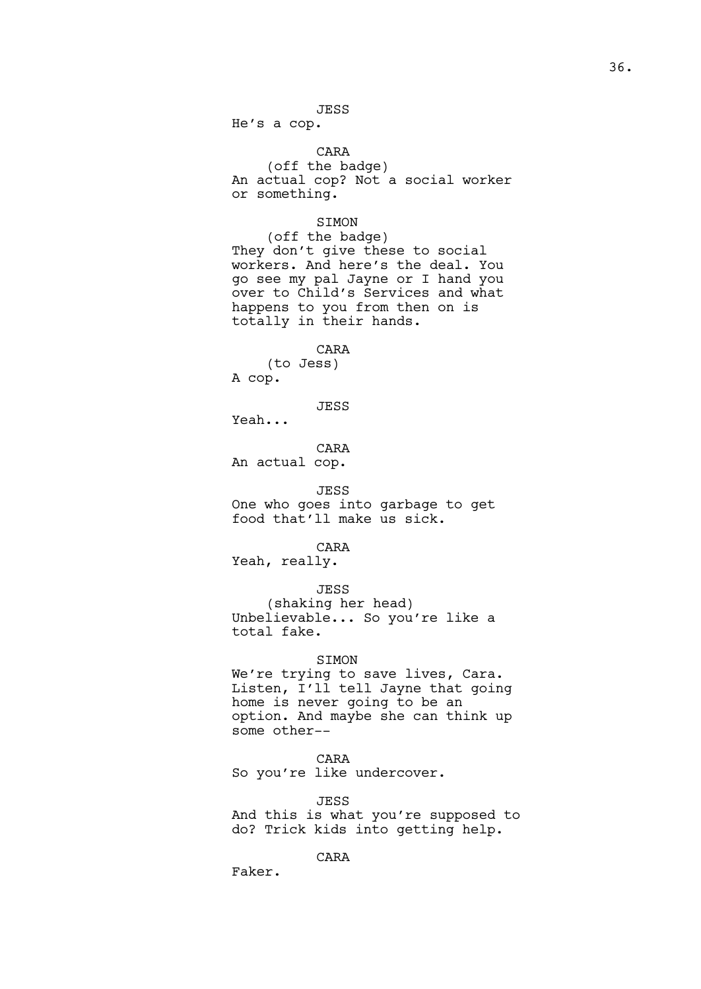He's a cop.

CARA (off the badge) An actual cop? Not a social worker or something.

# SIMON

(off the badge) They don't give these to social workers. And here's the deal. You go see my pal Jayne or I hand you over to Child's Services and what happens to you from then on is totally in their hands.

CARA

(to Jess) A cop.

JESS

Yeah...

CARA An actual cop.

JESS One who goes into garbage to get food that'll make us sick.

CARA

Yeah, really.

JESS

(shaking her head) Unbelievable... So you're like a total fake.

### SIMON

We're trying to save lives, Cara. Listen, I'll tell Jayne that going home is never going to be an option. And maybe she can think up some other--

# CARA

So you're like undercover.

#### JESS

And this is what you're supposed to do? Trick kids into getting help.

# CARA

Faker.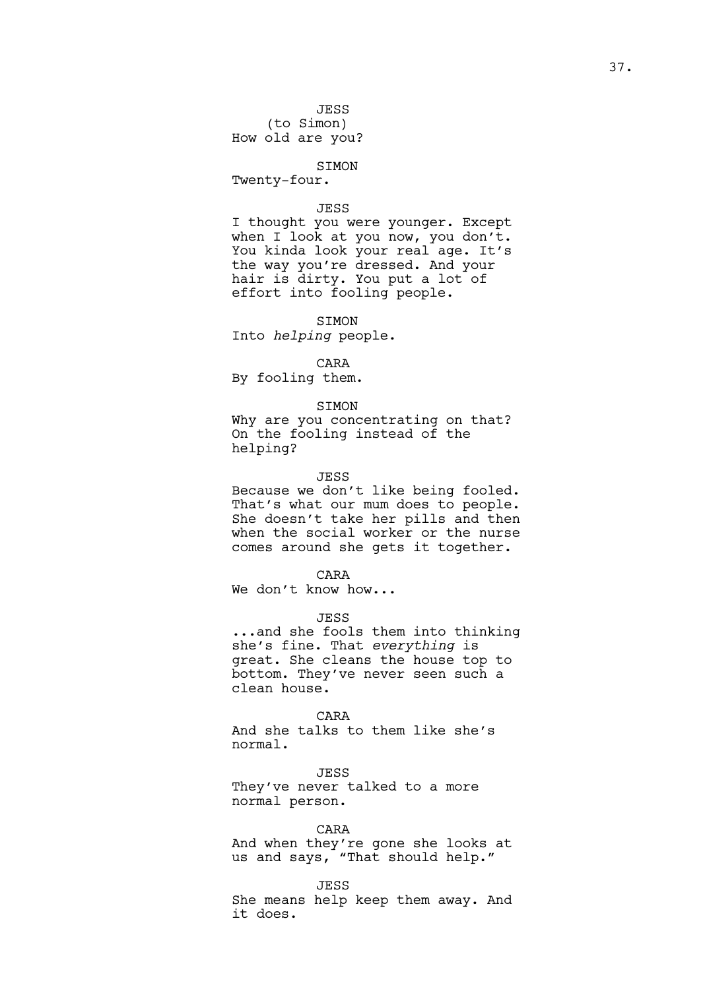# SIMON

Twenty-four.

## JESS

I thought you were younger. Except when I look at you now, you don't. You kinda look your real age. It's the way you're dressed. And your hair is dirty. You put a lot of effort into fooling people.

SIMON Into *helping* people.

## CARA

By fooling them.

## SIMON

Why are you concentrating on that? On the fooling instead of the helping?

### JESS

Because we don't like being fooled. That's what our mum does to people. She doesn't take her pills and then when the social worker or the nurse comes around she gets it together.

### CARA

We don't know how...

## **JESS**

...and she fools them into thinking she's fine. That *everything* is great. She cleans the house top to bottom. They've never seen such a clean house.

#### CARA

And she talks to them like she's normal.

JESS They've never talked to a more normal person.

# CARA

And when they're gone she looks at us and says, "That should help."

#### JESS

She means help keep them away. And it does.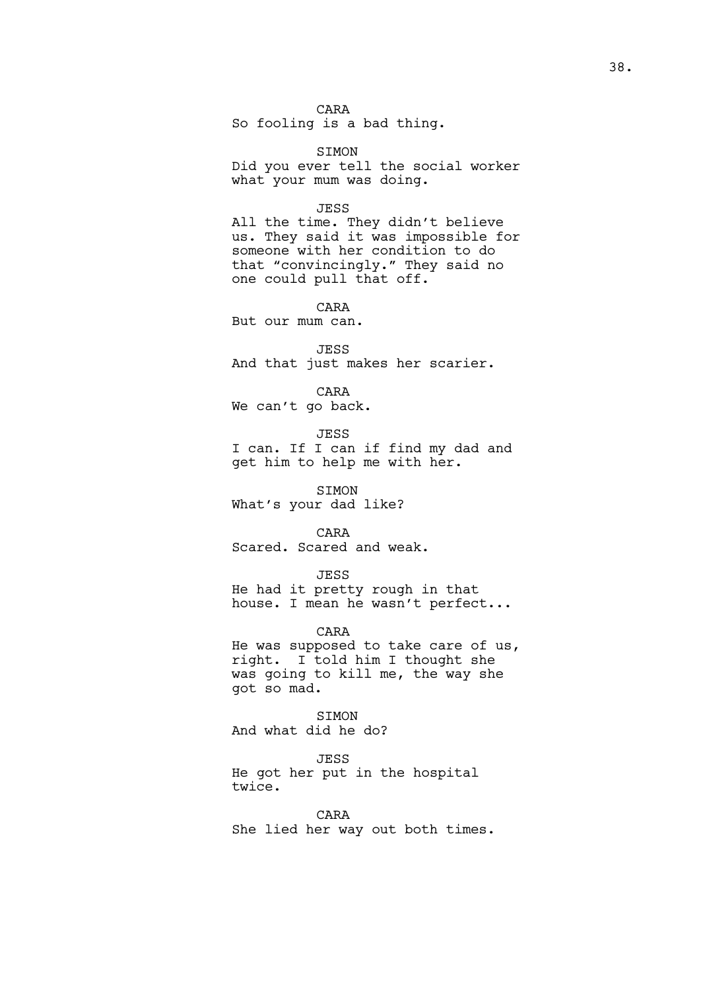# CARA

So fooling is a bad thing.

SIMON Did you ever tell the social worker what your mum was doing.

#### JESS

All the time. They didn't believe us. They said it was impossible for someone with her condition to do that "convincingly." They said no one could pull that off.

CARA But our mum can.

JESS And that just makes her scarier.

CARA We can't go back.

JESS

I can. If I can if find my dad and get him to help me with her.

SIMON What's your dad like?

CARA Scared. Scared and weak.

## JESS

He had it pretty rough in that house. I mean he wasn't perfect...

## CARA

He was supposed to take care of us, right. I told him I thought she was going to kill me, the way she got so mad.

SIMON And what did he do?

JESS

He got her put in the hospital twice.

CARA She lied her way out both times.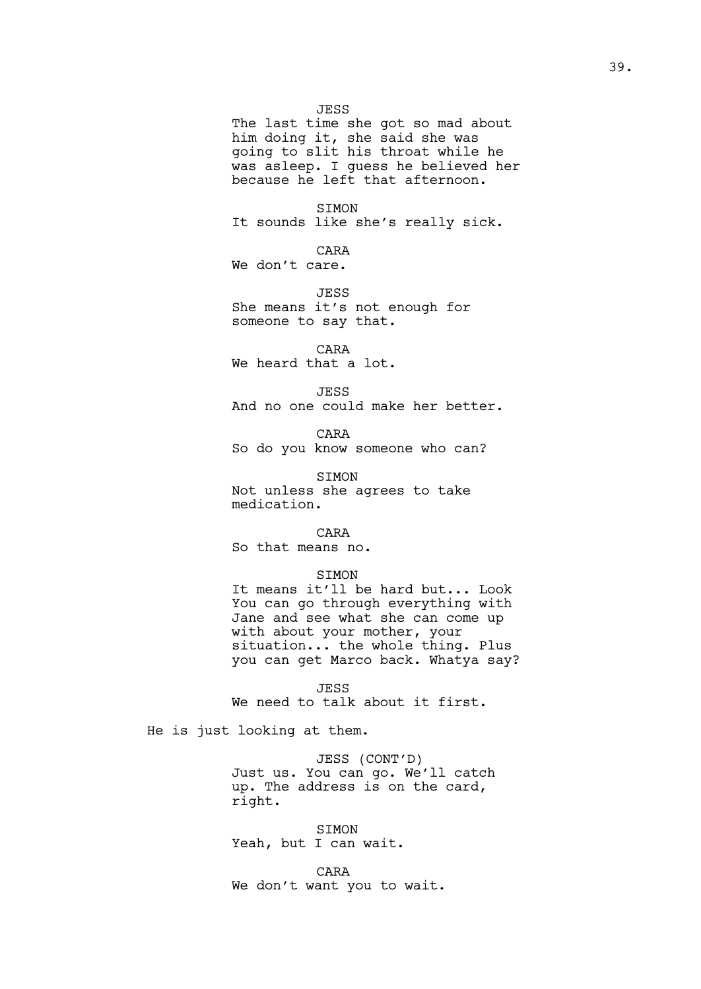JESS The last time she got so mad about him doing it, she said she was going to slit his throat while he was asleep. I guess he believed her because he left that afternoon.

SIMON It sounds like she's really sick.

CARA We don't care.

JESS She means it's not enough for someone to say that.

CARA We heard that a lot.

JESS And no one could make her better.

CARA So do you know someone who can?

SIMON Not unless she agrees to take medication.

CARA

So that means no.

# SIMON

It means it'll be hard but... Look You can go through everything with Jane and see what she can come up with about your mother, your situation... the whole thing. Plus you can get Marco back. Whatya say?

JESS We need to talk about it first.

He is just looking at them.

JESS (CONT'D) Just us. You can go. We'll catch up. The address is on the card, right.

SIMON Yeah, but I can wait.

CARA We don't want you to wait.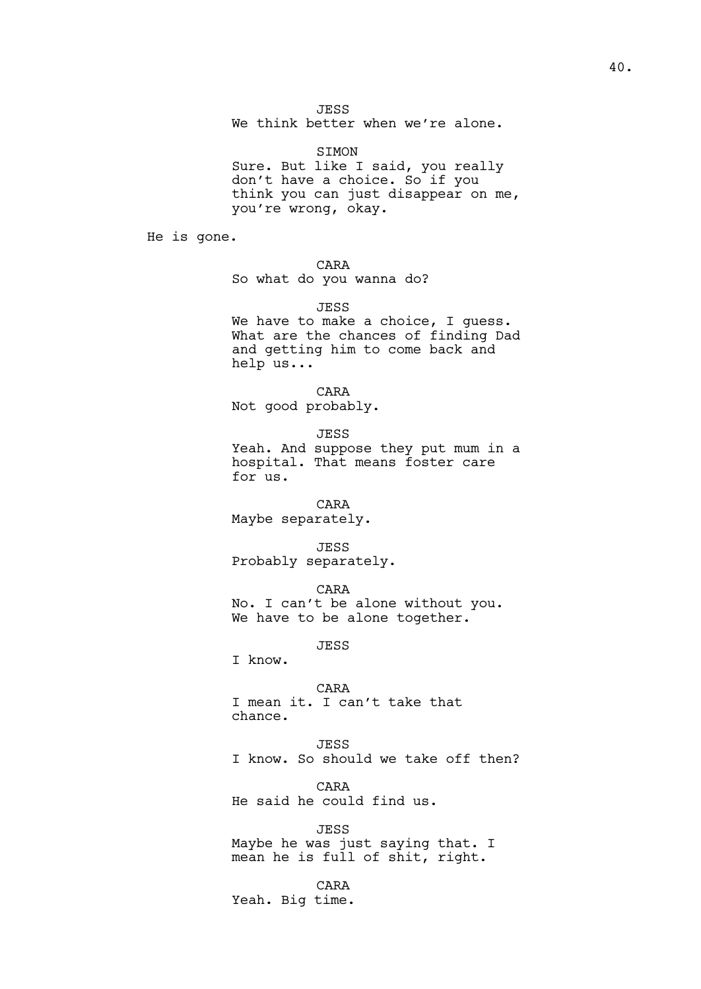JESS

We think better when we're alone.

SIMON Sure. But like I said, you really don't have a choice. So if you think you can just disappear on me, you're wrong, okay.

He is gone.

CARA

So what do you wanna do?

JESS

We have to make a choice, I guess. What are the chances of finding Dad and getting him to come back and help us...

CARA Not good probably.

JESS Yeah. And suppose they put mum in a hospital. That means foster care for us.

# CARA

Maybe separately.

JESS

Probably separately.

CARA

No. I can't be alone without you. We have to be alone together.

JESS

I know.

CARA I mean it. I can't take that chance.

JESS I know. So should we take off then?

CARA He said he could find us.

JESS Maybe he was just saying that. I mean he is full of shit, right.

CARA Yeah. Big time.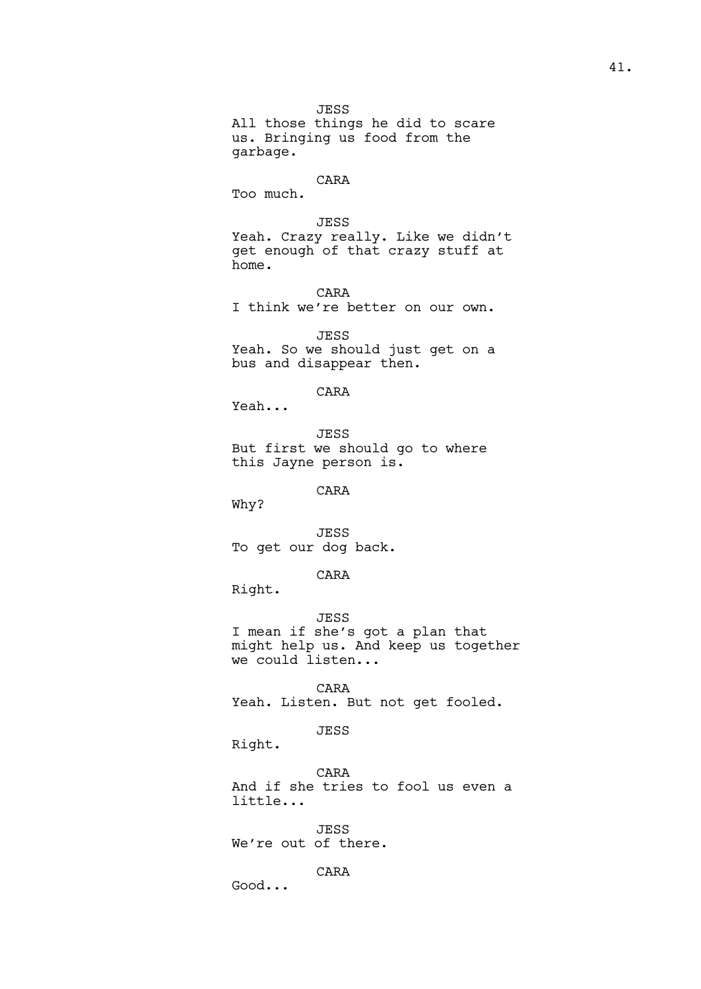JESS All those things he did to scare us. Bringing us food from the garbage.

# CARA

Too much.

```
JESS
```
Yeah. Crazy really. Like we didn't get enough of that crazy stuff at home.

CARA I think we're better on our own.

JESS Yeah. So we should just get on a bus and disappear then.

CARA

Yeah...

JESS But first we should go to where this Jayne person is.

CARA

Why?

JESS To get our dog back.

#### CARA

Right.

JESS I mean if she's got a plan that might help us. And keep us together

we could listen...

CARA Yeah. Listen. But not get fooled.

# JESS

Right.

CARA And if she tries to fool us even a little...

JESS We're out of there.

# CARA

Good...